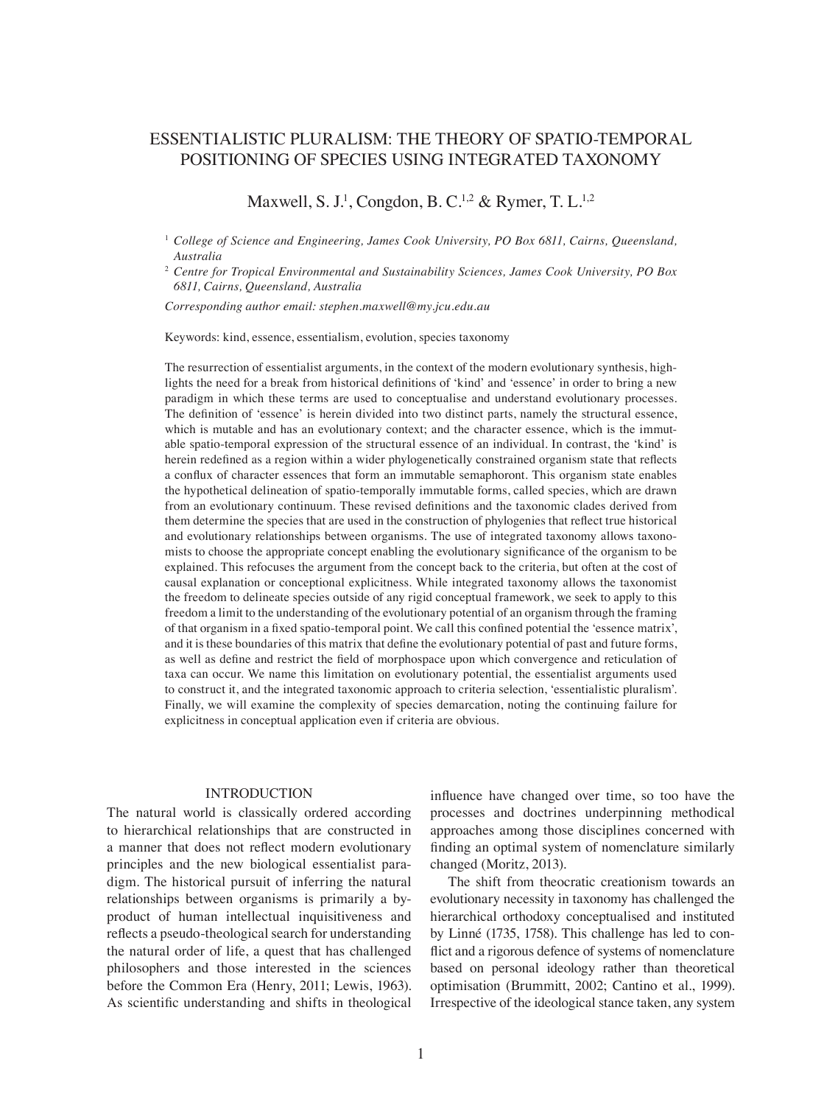# ESSENTIALISTIC PLURALISM: THE THEORY OF SPATIO-TEMPORAL POSITIONING OF SPECIES USING INTEGRATED TAXONOMY

Maxwell, S. J.<sup>1</sup>, Congdon, B. C.<sup>1,2</sup> & Rymer, T. L.<sup>1,2</sup>

<sup>1</sup> *College of Science and Engineering, James Cook University, PO Box 6811, Cairns, Queensland, Australia*

<sup>2</sup> *Centre for Tropical Environmental and Sustainability Sciences, James Cook University, PO Box 6811, Cairns, Queensland, Australia*

*Corresponding author email: stephen.maxwell@my.jcu.edu.au*

Keywords: kind, essence, essentialism, evolution, species taxonomy

The resurrection of essentialist arguments, in the context of the modern evolutionary synthesis, highlights the need for a break from historical definitions of 'kind' and 'essence' in order to bring a new paradigm in which these terms are used to conceptualise and understand evolutionary processes. The definition of 'essence' is herein divided into two distinct parts, namely the structural essence, which is mutable and has an evolutionary context; and the character essence, which is the immutable spatio-temporal expression of the structural essence of an individual. In contrast, the 'kind' is herein redefined as a region within a wider phylogenetically constrained organism state that reflects a conflux of character essences that form an immutable semaphoront. This organism state enables the hypothetical delineation of spatio-temporally immutable forms, called species, which are drawn from an evolutionary continuum. These revised definitions and the taxonomic clades derived from them determine the species that are used in the construction of phylogenies that reflect true historical and evolutionary relationships between organisms. The use of integrated taxonomy allows taxonomists to choose the appropriate concept enabling the evolutionary significance of the organism to be explained. This refocuses the argument from the concept back to the criteria, but often at the cost of causal explanation or conceptional explicitness. While integrated taxonomy allows the taxonomist the freedom to delineate species outside of any rigid conceptual framework, we seek to apply to this freedom a limit to the understanding of the evolutionary potential of an organism through the framing of that organism in a fixed spatio-temporal point. We call this confined potential the 'essence matrix', and it is these boundaries of this matrix that define the evolutionary potential of past and future forms, as well as define and restrict the field of morphospace upon which convergence and reticulation of taxa can occur. We name this limitation on evolutionary potential, the essentialist arguments used to construct it, and the integrated taxonomic approach to criteria selection, 'essentialistic pluralism'. Finally, we will examine the complexity of species demarcation, noting the continuing failure for explicitness in conceptual application even if criteria are obvious.

# INTRODUCTION

The natural world is classically ordered according to hierarchical relationships that are constructed in a manner that does not reflect modern evolutionary principles and the new biological essentialist paradigm. The historical pursuit of inferring the natural relationships between organisms is primarily a byproduct of human intellectual inquisitiveness and reflects a pseudo-theological search for understanding the natural order of life, a quest that has challenged philosophers and those interested in the sciences before the Common Era (Henry, 2011; Lewis, 1963). As scientific understanding and shifts in theological

influence have changed over time, so too have the processes and doctrines underpinning methodical approaches among those disciplines concerned with finding an optimal system of nomenclature similarly changed (Moritz, 2013).

The shift from theocratic creationism towards an evolutionary necessity in taxonomy has challenged the hierarchical orthodoxy conceptualised and instituted by Linné (1735, 1758). This challenge has led to conflict and a rigorous defence of systems of nomenclature based on personal ideology rather than theoretical optimisation (Brummitt, 2002; Cantino et al., 1999). Irrespective of the ideological stance taken, any system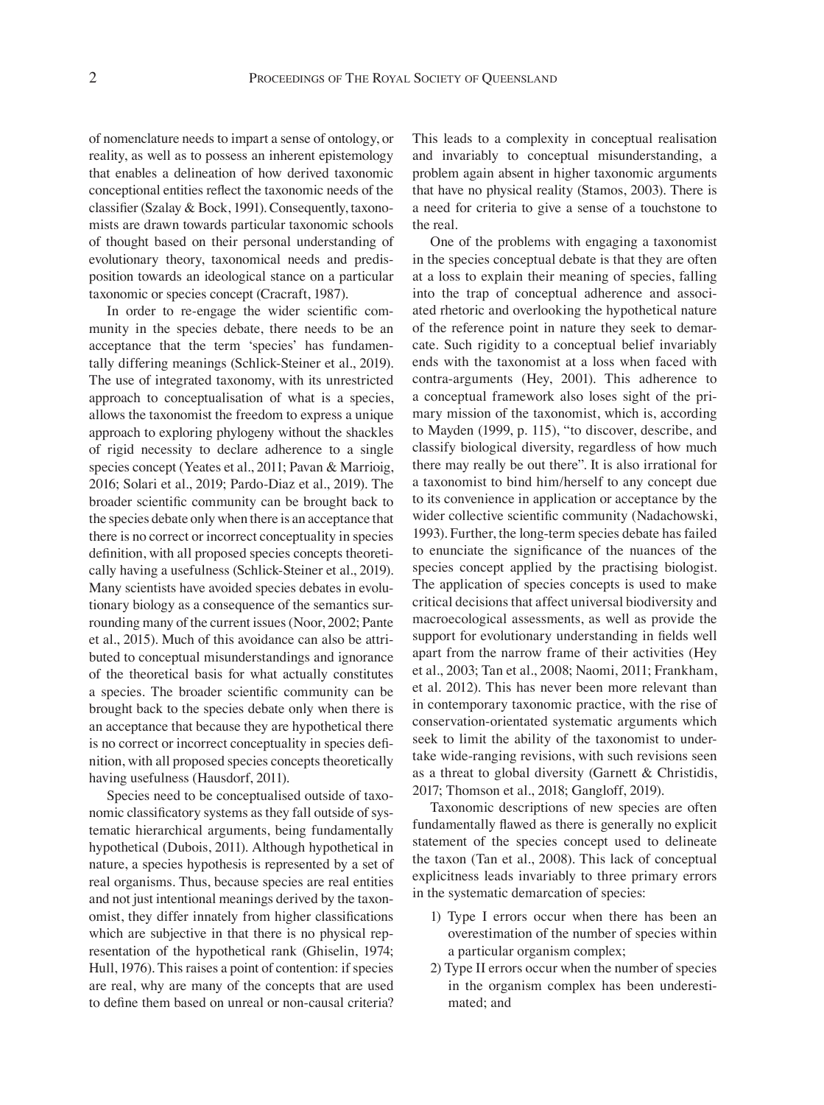of nomenclature needs to impart a sense of ontology, or reality, as well as to possess an inherent epistemology that enables a delineation of how derived taxonomic conceptional entities reflect the taxonomic needs of the classifier (Szalay & Bock, 1991). Consequently, taxonomists are drawn towards particular taxonomic schools of thought based on their personal understanding of evolutionary theory, taxonomical needs and predisposition towards an ideological stance on a particular taxonomic or species concept (Cracraft, 1987).

In order to re-engage the wider scientific community in the species debate, there needs to be an acceptance that the term 'species' has fundamentally differing meanings (Schlick-Steiner et al., 2019). The use of integrated taxonomy, with its unrestricted approach to conceptualisation of what is a species, allows the taxonomist the freedom to express a unique approach to exploring phylogeny without the shackles of rigid necessity to declare adherence to a single species concept (Yeates et al., 2011; Pavan & Marrioig, 2016; Solari et al., 2019; Pardo-Diaz et al., 2019). The broader scientific community can be brought back to the species debate only when there is an acceptance that there is no correct or incorrect conceptuality in species definition, with all proposed species concepts theoretically having a usefulness (Schlick-Steiner et al., 2019). Many scientists have avoided species debates in evolutionary biology as a consequence of the semantics surrounding many of the current issues (Noor, 2002; Pante et al., 2015). Much of this avoidance can also be attributed to conceptual misunderstandings and ignorance of the theoretical basis for what actually constitutes a species. The broader scientific community can be brought back to the species debate only when there is an acceptance that because they are hypothetical there is no correct or incorrect conceptuality in species definition, with all proposed species concepts theoretically having usefulness (Hausdorf, 2011).

Species need to be conceptualised outside of taxonomic classificatory systems as they fall outside of systematic hierarchical arguments, being fundamentally hypothetical (Dubois, 2011). Although hypothetical in nature, a species hypothesis is represented by a set of real organisms. Thus, because species are real entities and not just intentional meanings derived by the taxonomist, they differ innately from higher classifications which are subjective in that there is no physical representation of the hypothetical rank (Ghiselin, 1974; Hull, 1976). This raises a point of contention: if species are real, why are many of the concepts that are used to define them based on unreal or non-causal criteria?

This leads to a complexity in conceptual realisation and invariably to conceptual misunderstanding, a problem again absent in higher taxonomic arguments that have no physical reality (Stamos, 2003). There is a need for criteria to give a sense of a touchstone to the real.

One of the problems with engaging a taxonomist in the species conceptual debate is that they are often at a loss to explain their meaning of species, falling into the trap of conceptual adherence and associated rhetoric and overlooking the hypothetical nature of the reference point in nature they seek to demarcate. Such rigidity to a conceptual belief invariably ends with the taxonomist at a loss when faced with contra-arguments (Hey, 2001). This adherence to a conceptual framework also loses sight of the primary mission of the taxonomist, which is, according to Mayden (1999, p. 115), "to discover, describe, and classify biological diversity, regardless of how much there may really be out there". It is also irrational for a taxonomist to bind him/herself to any concept due to its convenience in application or acceptance by the wider collective scientific community (Nadachowski, 1993). Further, the long-term species debate has failed to enunciate the significance of the nuances of the species concept applied by the practising biologist. The application of species concepts is used to make critical decisions that affect universal biodiversity and macroecological assessments, as well as provide the support for evolutionary understanding in fields well apart from the narrow frame of their activities (Hey et al., 2003; Tan et al., 2008; Naomi, 2011; Frankham, et al. 2012). This has never been more relevant than in contemporary taxonomic practice, with the rise of conservation-orientated systematic arguments which seek to limit the ability of the taxonomist to undertake wide-ranging revisions, with such revisions seen as a threat to global diversity (Garnett & Christidis, 2017; Thomson et al., 2018; Gangloff, 2019).

Taxonomic descriptions of new species are often fundamentally flawed as there is generally no explicit statement of the species concept used to delineate the taxon (Tan et al., 2008). This lack of conceptual explicitness leads invariably to three primary errors in the systematic demarcation of species:

- 1) Type I errors occur when there has been an overestimation of the number of species within a particular organism complex;
- 2) Type II errors occur when the number of species in the organism complex has been underestimated; and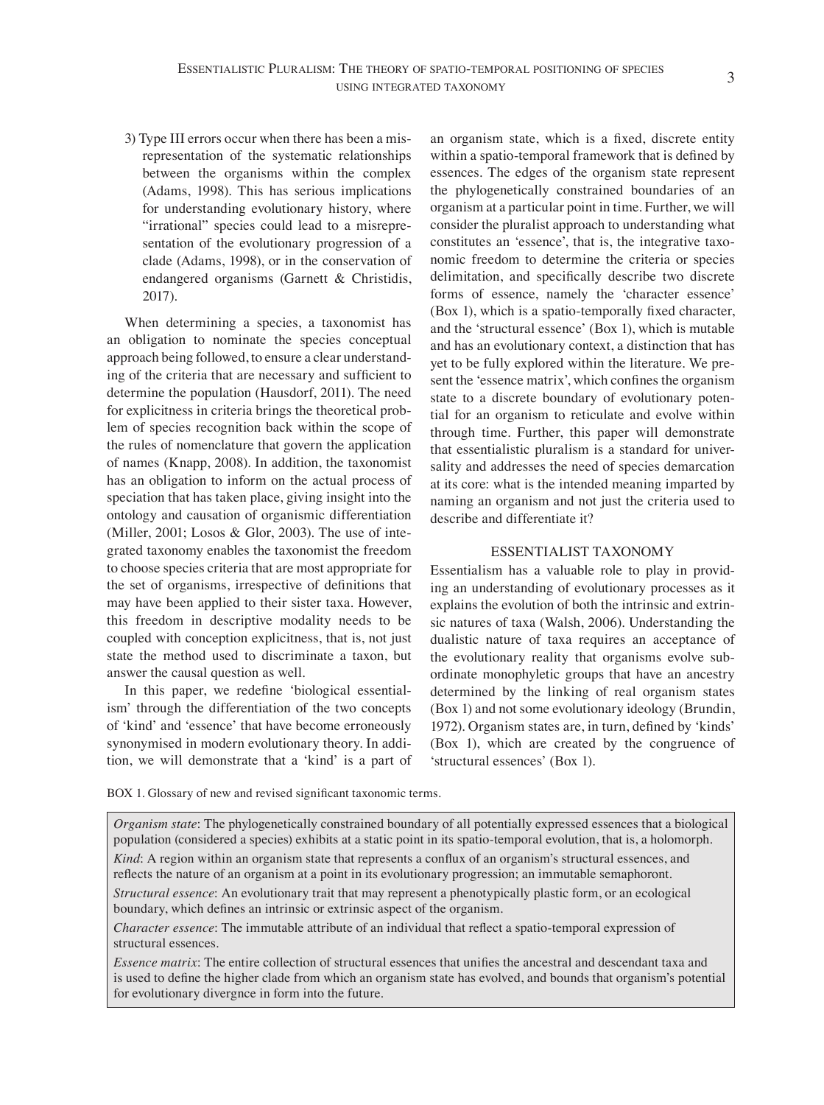3) Type III errors occur when there has been a misrepresentation of the systematic relationships between the organisms within the complex (Adams, 1998). This has serious implications for understanding evolutionary history, where "irrational" species could lead to a misrepresentation of the evolutionary progression of a clade (Adams, 1998), or in the conservation of endangered organisms (Garnett & Christidis, 2017).

When determining a species, a taxonomist has an obligation to nominate the species conceptual approach being followed, to ensure a clear understanding of the criteria that are necessary and sufficient to determine the population (Hausdorf, 2011). The need for explicitness in criteria brings the theoretical problem of species recognition back within the scope of the rules of nomenclature that govern the application of names (Knapp, 2008). In addition, the taxonomist has an obligation to inform on the actual process of speciation that has taken place, giving insight into the ontology and causation of organismic differentiation (Miller, 2001; Losos & Glor, 2003). The use of integrated taxonomy enables the taxonomist the freedom to choose species criteria that are most appropriate for the set of organisms, irrespective of definitions that may have been applied to their sister taxa. However, this freedom in descriptive modality needs to be coupled with conception explicitness, that is, not just state the method used to discriminate a taxon, but answer the causal question as well.

In this paper, we redefine 'biological essentialism' through the differentiation of the two concepts of 'kind' and 'essence' that have become erroneously synonymised in modern evolutionary theory. In addition, we will demonstrate that a 'kind' is a part of an organism state, which is a fixed, discrete entity within a spatio-temporal framework that is defined by essences. The edges of the organism state represent the phylogenetically constrained boundaries of an organism at a particular point in time. Further, we will consider the pluralist approach to understanding what constitutes an 'essence', that is, the integrative taxonomic freedom to determine the criteria or species delimitation, and specifically describe two discrete forms of essence, namely the 'character essence' (Box 1), which is a spatio-temporally fixed character, and the 'structural essence' (Box 1), which is mutable and has an evolutionary context, a distinction that has yet to be fully explored within the literature. We present the 'essence matrix', which confines the organism state to a discrete boundary of evolutionary potential for an organism to reticulate and evolve within through time. Further, this paper will demonstrate that essentialistic pluralism is a standard for universality and addresses the need of species demarcation at its core: what is the intended meaning imparted by naming an organism and not just the criteria used to describe and differentiate it?

# ESSENTIALIST TAXONOMY

Essentialism has a valuable role to play in providing an understanding of evolutionary processes as it explains the evolution of both the intrinsic and extrinsic natures of taxa (Walsh, 2006). Understanding the dualistic nature of taxa requires an acceptance of the evolutionary reality that organisms evolve subordinate monophyletic groups that have an ancestry determined by the linking of real organism states (Box 1) and not some evolutionary ideology (Brundin, 1972). Organism states are, in turn, defined by 'kinds' (Box 1), which are created by the congruence of 'structural essences' (Box 1).

BOX 1. Glossary of new and revised significant taxonomic terms.

*Organism state*: The phylogenetically constrained boundary of all potentially expressed essences that a biological population (considered a species) exhibits at a static point in its spatio-temporal evolution, that is, a holomorph.

*Kind*: A region within an organism state that represents a conflux of an organism's structural essences, and reflects the nature of an organism at a point in its evolutionary progression; an immutable semaphoront.

*Structural essence*: An evolutionary trait that may represent a phenotypically plastic form, or an ecological boundary, which defines an intrinsic or extrinsic aspect of the organism.

*Character essence*: The immutable attribute of an individual that reflect a spatio-temporal expression of structural essences.

*Essence matrix*: The entire collection of structural essences that unifies the ancestral and descendant taxa and is used to define the higher clade from which an organism state has evolved, and bounds that organism's potential for evolutionary divergnce in form into the future.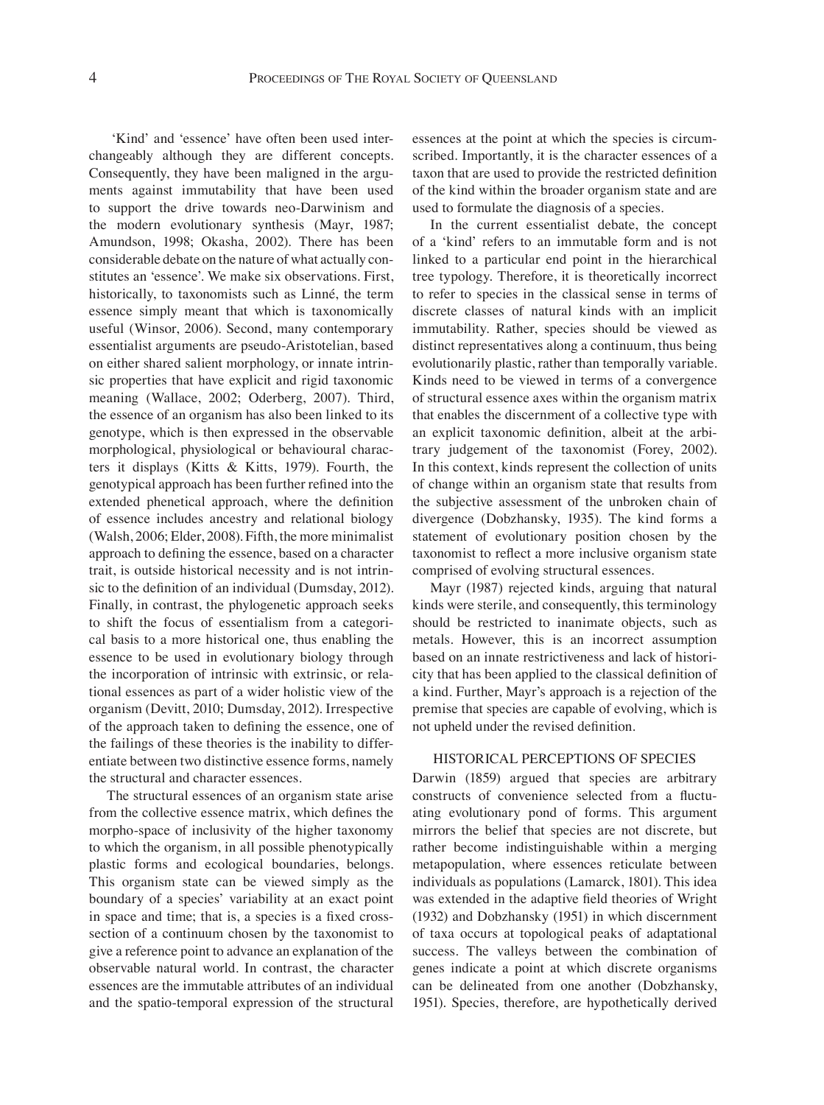'Kind' and 'essence' have often been used interchangeably although they are different concepts. Consequently, they have been maligned in the arguments against immutability that have been used to support the drive towards neo-Darwinism and the modern evolutionary synthesis (Mayr, 1987; Amundson, 1998; Okasha, 2002). There has been considerable debate on the nature of what actually constitutes an 'essence'. We make six observations. First, historically, to taxonomists such as Linné, the term essence simply meant that which is taxonomically useful (Winsor, 2006). Second, many contemporary essentialist arguments are pseudo-Aristotelian, based on either shared salient morphology, or innate intrinsic properties that have explicit and rigid taxonomic meaning (Wallace, 2002; Oderberg, 2007). Third, the essence of an organism has also been linked to its genotype, which is then expressed in the observable morphological, physiological or behavioural characters it displays (Kitts & Kitts, 1979). Fourth, the genotypical approach has been further refined into the extended phenetical approach, where the definition of essence includes ancestry and relational biology (Walsh, 2006; Elder, 2008). Fifth, the more minimalist approach to defining the essence, based on a character trait, is outside historical necessity and is not intrinsic to the definition of an individual (Dumsday, 2012). Finally, in contrast, the phylogenetic approach seeks to shift the focus of essentialism from a categorical basis to a more historical one, thus enabling the essence to be used in evolutionary biology through the incorporation of intrinsic with extrinsic, or relational essences as part of a wider holistic view of the organism (Devitt, 2010; Dumsday, 2012). Irrespective of the approach taken to defining the essence, one of the failings of these theories is the inability to differentiate between two distinctive essence forms, namely the structural and character essences.

The structural essences of an organism state arise from the collective essence matrix, which defines the morpho-space of inclusivity of the higher taxonomy to which the organism, in all possible phenotypically plastic forms and ecological boundaries, belongs. This organism state can be viewed simply as the boundary of a species' variability at an exact point in space and time; that is, a species is a fixed crosssection of a continuum chosen by the taxonomist to give a reference point to advance an explanation of the observable natural world. In contrast, the character essences are the immutable attributes of an individual and the spatio-temporal expression of the structural essences at the point at which the species is circumscribed. Importantly, it is the character essences of a taxon that are used to provide the restricted definition of the kind within the broader organism state and are used to formulate the diagnosis of a species.

In the current essentialist debate, the concept of a 'kind' refers to an immutable form and is not linked to a particular end point in the hierarchical tree typology. Therefore, it is theoretically incorrect to refer to species in the classical sense in terms of discrete classes of natural kinds with an implicit immutability. Rather, species should be viewed as distinct representatives along a continuum, thus being evolutionarily plastic, rather than temporally variable. Kinds need to be viewed in terms of a convergence of structural essence axes within the organism matrix that enables the discernment of a collective type with an explicit taxonomic definition, albeit at the arbitrary judgement of the taxonomist (Forey, 2002). In this context, kinds represent the collection of units of change within an organism state that results from the subjective assessment of the unbroken chain of divergence (Dobzhansky, 1935). The kind forms a statement of evolutionary position chosen by the taxonomist to reflect a more inclusive organism state comprised of evolving structural essences.

Mayr (1987) rejected kinds, arguing that natural kinds were sterile, and consequently, this terminology should be restricted to inanimate objects, such as metals. However, this is an incorrect assumption based on an innate restrictiveness and lack of historicity that has been applied to the classical definition of a kind. Further, Mayr's approach is a rejection of the premise that species are capable of evolving, which is not upheld under the revised definition.

## HISTORICAL PERCEPTIONS OF SPECIES

Darwin (1859) argued that species are arbitrary constructs of convenience selected from a fluctuating evolutionary pond of forms. This argument mirrors the belief that species are not discrete, but rather become indistinguishable within a merging metapopulation, where essences reticulate between individuals as populations (Lamarck, 1801). This idea was extended in the adaptive field theories of Wright (1932) and Dobzhansky (1951) in which discernment of taxa occurs at topological peaks of adaptational success. The valleys between the combination of genes indicate a point at which discrete organisms can be delineated from one another (Dobzhansky, 1951). Species, therefore, are hypothetically derived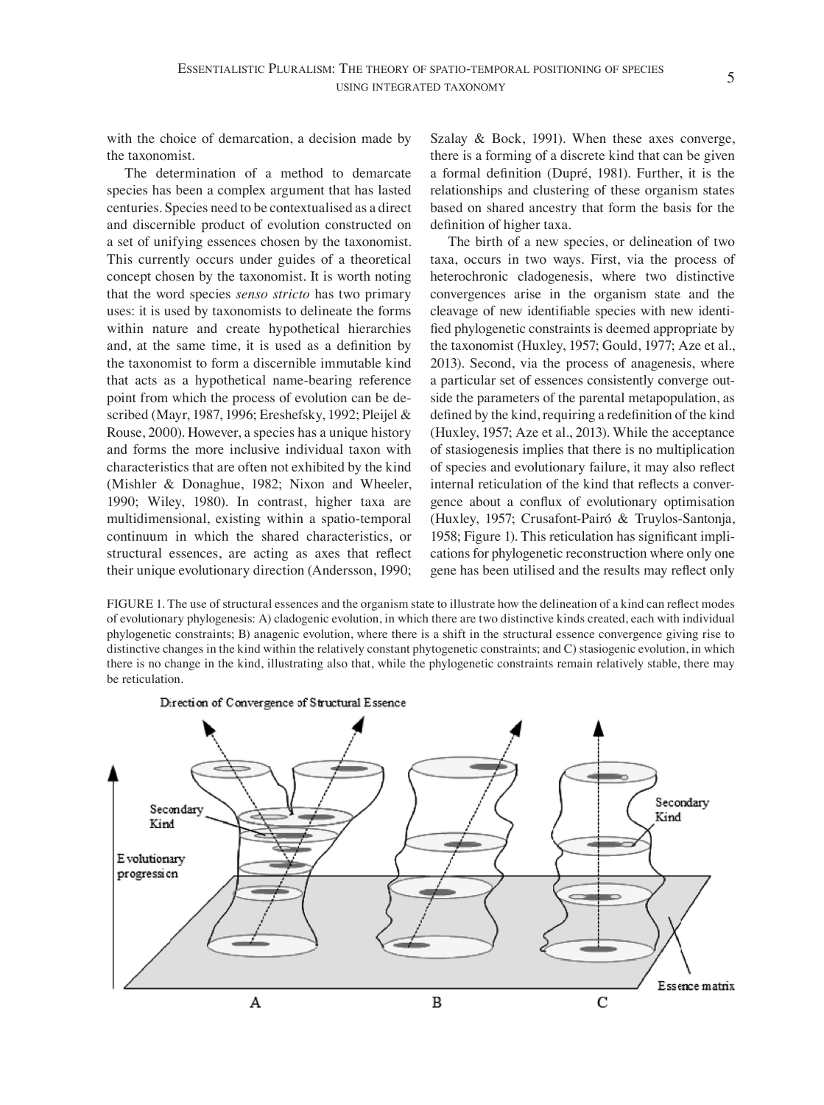with the choice of demarcation, a decision made by the taxonomist.

The determination of a method to demarcate species has been a complex argument that has lasted centuries. Species need to be contextualised as a direct and discernible product of evolution constructed on a set of unifying essences chosen by the taxonomist. This currently occurs under guides of a theoretical concept chosen by the taxonomist. It is worth noting that the word species *senso stricto* has two primary uses: it is used by taxonomists to delineate the forms within nature and create hypothetical hierarchies and, at the same time, it is used as a definition by the taxonomist to form a discernible immutable kind that acts as a hypothetical name-bearing reference point from which the process of evolution can be described (Mayr, 1987, 1996; Ereshefsky, 1992; Pleijel & Rouse, 2000). However, a species has a unique history and forms the more inclusive individual taxon with characteristics that are often not exhibited by the kind (Mishler & Donaghue, 1982; Nixon and Wheeler, 1990; Wiley, 1980). In contrast, higher taxa are multidimensional, existing within a spatio-temporal continuum in which the shared characteristics, or structural essences, are acting as axes that reflect their unique evolutionary direction (Andersson, 1990;

Szalay & Bock, 1991). When these axes converge, there is a forming of a discrete kind that can be given a formal definition (Dupré, 1981). Further, it is the relationships and clustering of these organism states based on shared ancestry that form the basis for the definition of higher taxa.

The birth of a new species, or delineation of two taxa, occurs in two ways. First, via the process of heterochronic cladogenesis, where two distinctive convergences arise in the organism state and the cleavage of new identifiable species with new identified phylogenetic constraints is deemed appropriate by the taxonomist (Huxley, 1957; Gould, 1977; Aze et al., 2013). Second, via the process of anagenesis, where a particular set of essences consistently converge outside the parameters of the parental metapopulation, as defined by the kind, requiring a redefinition of the kind (Huxley, 1957; Aze et al., 2013). While the acceptance of stasiogenesis implies that there is no multiplication of species and evolutionary failure, it may also reflect internal reticulation of the kind that reflects a convergence about a conflux of evolutionary optimisation (Huxley, 1957; Crusafont-Pairó & Truylos-Santonja, 1958; Figure 1). This reticulation has significant implications for phylogenetic reconstruction where only one gene has been utilised and the results may reflect only

FIGURE 1. The use of structural essences and the organism state to illustrate how the delineation of a kind can reflect modes of evolutionary phylogenesis: A) cladogenic evolution, in which there are two distinctive kinds created, each with individual phylogenetic constraints; B) anagenic evolution, where there is a shift in the structural essence convergence giving rise to distinctive changes in the kind within the relatively constant phytogenetic constraints; and C) stasiogenic evolution, in which there is no change in the kind, illustrating also that, while the phylogenetic constraints remain relatively stable, there may be reticulation.



Direction of Convergence of Structural Essence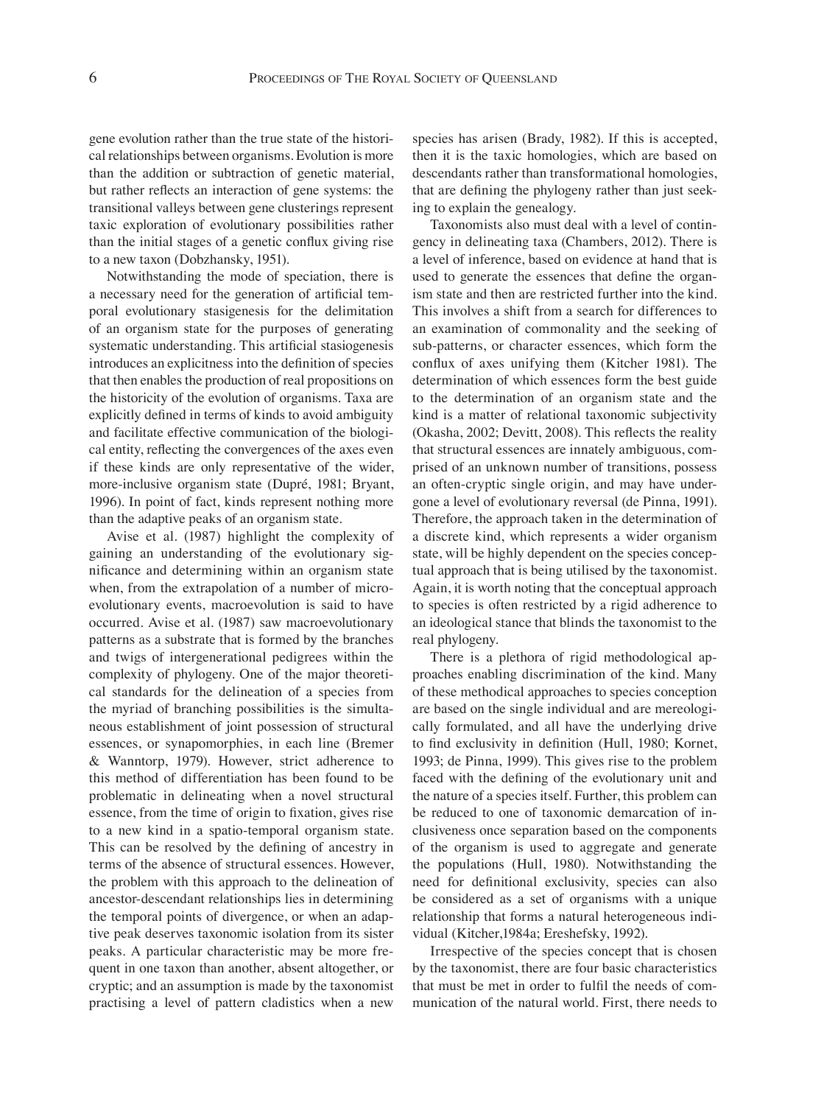gene evolution rather than the true state of the historical relationships between organisms. Evolution is more than the addition or subtraction of genetic material, but rather reflects an interaction of gene systems: the transitional valleys between gene clusterings represent taxic exploration of evolutionary possibilities rather than the initial stages of a genetic conflux giving rise to a new taxon (Dobzhansky, 1951).

Notwithstanding the mode of speciation, there is a necessary need for the generation of artificial temporal evolutionary stasigenesis for the delimitation of an organism state for the purposes of generating systematic understanding. This artificial stasiogenesis introduces an explicitness into the definition of species that then enables the production of real propositions on the historicity of the evolution of organisms. Taxa are explicitly defined in terms of kinds to avoid ambiguity and facilitate effective communication of the biological entity, reflecting the convergences of the axes even if these kinds are only representative of the wider, more-inclusive organism state (Dupré, 1981; Bryant, 1996). In point of fact, kinds represent nothing more than the adaptive peaks of an organism state.

Avise et al. (1987) highlight the complexity of gaining an understanding of the evolutionary significance and determining within an organism state when, from the extrapolation of a number of microevolutionary events, macroevolution is said to have occurred. Avise et al. (1987) saw macroevolutionary patterns as a substrate that is formed by the branches and twigs of intergenerational pedigrees within the complexity of phylogeny. One of the major theoretical standards for the delineation of a species from the myriad of branching possibilities is the simultaneous establishment of joint possession of structural essences, or synapomorphies, in each line (Bremer & Wanntorp, 1979). However, strict adherence to this method of differentiation has been found to be problematic in delineating when a novel structural essence, from the time of origin to fixation, gives rise to a new kind in a spatio-temporal organism state. This can be resolved by the defining of ancestry in terms of the absence of structural essences. However, the problem with this approach to the delineation of ancestor-descendant relationships lies in determining the temporal points of divergence, or when an adaptive peak deserves taxonomic isolation from its sister peaks. A particular characteristic may be more frequent in one taxon than another, absent altogether, or cryptic; and an assumption is made by the taxonomist practising a level of pattern cladistics when a new

species has arisen (Brady, 1982). If this is accepted, then it is the taxic homologies, which are based on descendants rather than transformational homologies, that are defining the phylogeny rather than just seeking to explain the genealogy.

Taxonomists also must deal with a level of contingency in delineating taxa (Chambers, 2012). There is a level of inference, based on evidence at hand that is used to generate the essences that define the organism state and then are restricted further into the kind. This involves a shift from a search for differences to an examination of commonality and the seeking of sub-patterns, or character essences, which form the conflux of axes unifying them (Kitcher 1981). The determination of which essences form the best guide to the determination of an organism state and the kind is a matter of relational taxonomic subjectivity (Okasha, 2002; Devitt, 2008). This reflects the reality that structural essences are innately ambiguous, comprised of an unknown number of transitions, possess an often-cryptic single origin, and may have undergone a level of evolutionary reversal (de Pinna, 1991). Therefore, the approach taken in the determination of a discrete kind, which represents a wider organism state, will be highly dependent on the species conceptual approach that is being utilised by the taxonomist. Again, it is worth noting that the conceptual approach to species is often restricted by a rigid adherence to an ideological stance that blinds the taxonomist to the real phylogeny.

There is a plethora of rigid methodological approaches enabling discrimination of the kind. Many of these methodical approaches to species conception are based on the single individual and are mereologically formulated, and all have the underlying drive to find exclusivity in definition (Hull, 1980; Kornet, 1993; de Pinna, 1999). This gives rise to the problem faced with the defining of the evolutionary unit and the nature of a species itself. Further, this problem can be reduced to one of taxonomic demarcation of inclusiveness once separation based on the components of the organism is used to aggregate and generate the populations (Hull, 1980). Notwithstanding the need for definitional exclusivity, species can also be considered as a set of organisms with a unique relationship that forms a natural heterogeneous individual (Kitcher,1984a; Ereshefsky, 1992).

Irrespective of the species concept that is chosen by the taxonomist, there are four basic characteristics that must be met in order to fulfil the needs of communication of the natural world. First, there needs to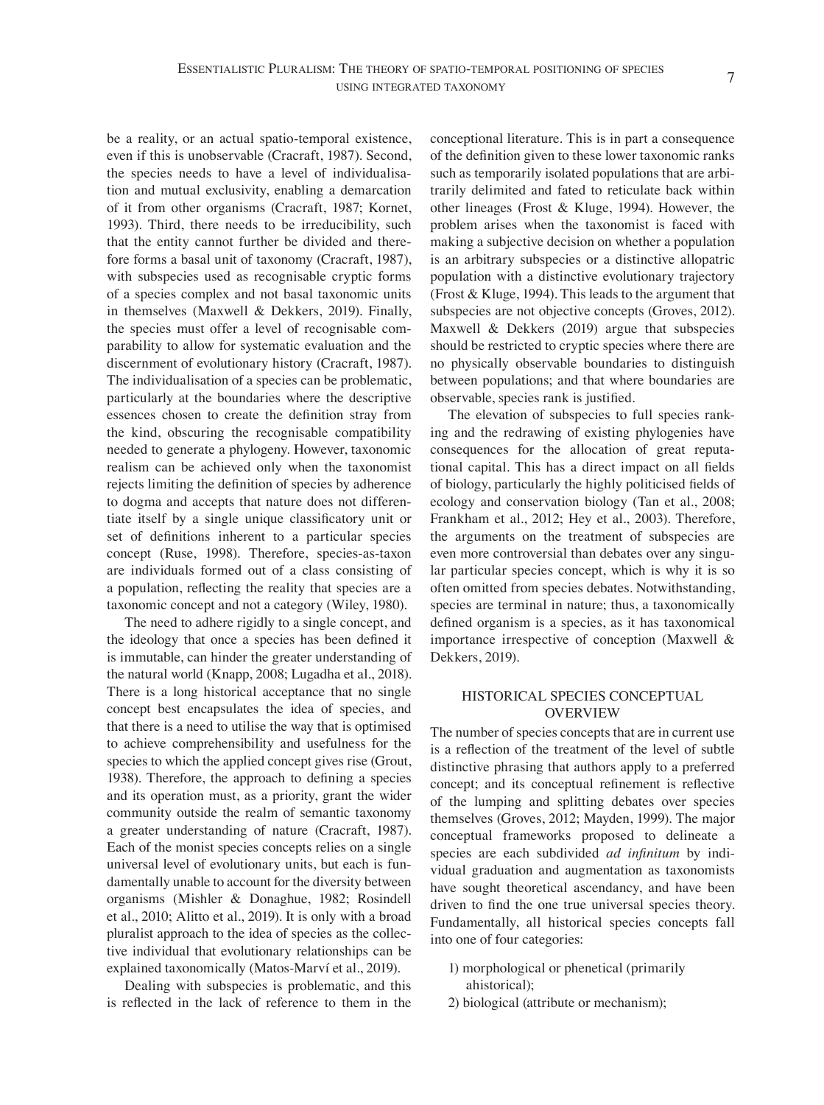be a reality, or an actual spatio-temporal existence, even if this is unobservable (Cracraft, 1987). Second, the species needs to have a level of individualisation and mutual exclusivity, enabling a demarcation of it from other organisms (Cracraft, 1987; Kornet, 1993). Third, there needs to be irreducibility, such that the entity cannot further be divided and therefore forms a basal unit of taxonomy (Cracraft, 1987), with subspecies used as recognisable cryptic forms of a species complex and not basal taxonomic units in themselves (Maxwell & Dekkers, 2019). Finally, the species must offer a level of recognisable comparability to allow for systematic evaluation and the discernment of evolutionary history (Cracraft, 1987). The individualisation of a species can be problematic, particularly at the boundaries where the descriptive essences chosen to create the definition stray from the kind, obscuring the recognisable compatibility needed to generate a phylogeny. However, taxonomic realism can be achieved only when the taxonomist rejects limiting the definition of species by adherence to dogma and accepts that nature does not differentiate itself by a single unique classificatory unit or set of definitions inherent to a particular species concept (Ruse, 1998). Therefore, species-as-taxon are individuals formed out of a class consisting of a population, reflecting the reality that species are a taxonomic concept and not a category (Wiley, 1980).

The need to adhere rigidly to a single concept, and the ideology that once a species has been defined it is immutable, can hinder the greater understanding of the natural world (Knapp, 2008; Lugadha et al., 2018). There is a long historical acceptance that no single concept best encapsulates the idea of species, and that there is a need to utilise the way that is optimised to achieve comprehensibility and usefulness for the species to which the applied concept gives rise (Grout, 1938). Therefore, the approach to defining a species and its operation must, as a priority, grant the wider community outside the realm of semantic taxonomy a greater understanding of nature (Cracraft, 1987). Each of the monist species concepts relies on a single universal level of evolutionary units, but each is fundamentally unable to account for the diversity between organisms (Mishler & Donaghue, 1982; Rosindell et al., 2010; Alitto et al., 2019). It is only with a broad pluralist approach to the idea of species as the collective individual that evolutionary relationships can be explained taxonomically (Matos-Marví et al., 2019).

Dealing with subspecies is problematic, and this is reflected in the lack of reference to them in the

conceptional literature. This is in part a consequence of the definition given to these lower taxonomic ranks such as temporarily isolated populations that are arbitrarily delimited and fated to reticulate back within other lineages (Frost & Kluge, 1994). However, the problem arises when the taxonomist is faced with making a subjective decision on whether a population is an arbitrary subspecies or a distinctive allopatric population with a distinctive evolutionary trajectory (Frost & Kluge, 1994). This leads to the argument that subspecies are not objective concepts (Groves, 2012). Maxwell & Dekkers (2019) argue that subspecies should be restricted to cryptic species where there are no physically observable boundaries to distinguish between populations; and that where boundaries are observable, species rank is justified.

The elevation of subspecies to full species ranking and the redrawing of existing phylogenies have consequences for the allocation of great reputational capital. This has a direct impact on all fields of biology, particularly the highly politicised fields of ecology and conservation biology (Tan et al., 2008; Frankham et al., 2012; Hey et al., 2003). Therefore, the arguments on the treatment of subspecies are even more controversial than debates over any singular particular species concept, which is why it is so often omitted from species debates. Notwithstanding, species are terminal in nature; thus, a taxonomically defined organism is a species, as it has taxonomical importance irrespective of conception (Maxwell & Dekkers, 2019).

# HISTORICAL SPECIES CONCEPTUAL OVERVIEW

The number of species concepts that are in current use is a reflection of the treatment of the level of subtle distinctive phrasing that authors apply to a preferred concept; and its conceptual refinement is reflective of the lumping and splitting debates over species themselves (Groves, 2012; Mayden, 1999). The major conceptual frameworks proposed to delineate a species are each subdivided *ad infinitum* by individual graduation and augmentation as taxonomists have sought theoretical ascendancy, and have been driven to find the one true universal species theory. Fundamentally, all historical species concepts fall into one of four categories:

- 1) morphological or phenetical (primarily ahistorical);
- 2) biological (attribute or mechanism);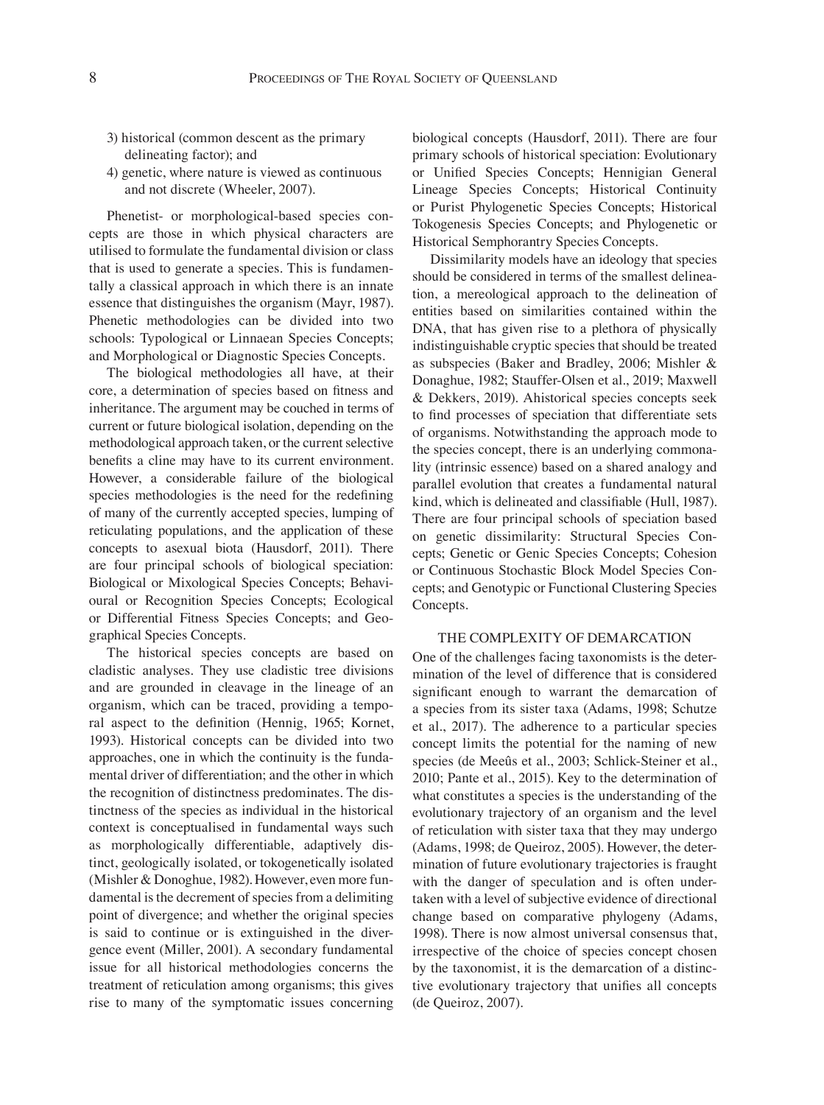- 3) historical (common descent as the primary delineating factor); and
- 4) genetic, where nature is viewed as continuous and not discrete (Wheeler, 2007).

Phenetist- or morphological-based species concepts are those in which physical characters are utilised to formulate the fundamental division or class that is used to generate a species. This is fundamentally a classical approach in which there is an innate essence that distinguishes the organism (Mayr, 1987). Phenetic methodologies can be divided into two schools: Typological or Linnaean Species Concepts; and Morphological or Diagnostic Species Concepts.

The biological methodologies all have, at their core, a determination of species based on fitness and inheritance. The argument may be couched in terms of current or future biological isolation, depending on the methodological approach taken, or the current selective benefits a cline may have to its current environment. However, a considerable failure of the biological species methodologies is the need for the redefining of many of the currently accepted species, lumping of reticulating populations, and the application of these concepts to asexual biota (Hausdorf, 2011). There are four principal schools of biological speciation: Biological or Mixological Species Concepts; Behavioural or Recognition Species Concepts; Ecological or Differential Fitness Species Concepts; and Geographical Species Concepts.

The historical species concepts are based on cladistic analyses. They use cladistic tree divisions and are grounded in cleavage in the lineage of an organism, which can be traced, providing a temporal aspect to the definition (Hennig, 1965; Kornet, 1993). Historical concepts can be divided into two approaches, one in which the continuity is the fundamental driver of differentiation; and the other in which the recognition of distinctness predominates. The distinctness of the species as individual in the historical context is conceptualised in fundamental ways such as morphologically differentiable, adaptively distinct, geologically isolated, or tokogenetically isolated (Mishler & Donoghue, 1982). However, even more fundamental is the decrement of species from a delimiting point of divergence; and whether the original species is said to continue or is extinguished in the divergence event (Miller, 2001). A secondary fundamental issue for all historical methodologies concerns the treatment of reticulation among organisms; this gives rise to many of the symptomatic issues concerning biological concepts (Hausdorf, 2011). There are four primary schools of historical speciation: Evolutionary or Unified Species Concepts; Hennigian General Lineage Species Concepts; Historical Continuity or Purist Phylogenetic Species Concepts; Historical Tokogenesis Species Concepts; and Phylogenetic or Historical Semphorantry Species Concepts.

Dissimilarity models have an ideology that species should be considered in terms of the smallest delineation, a mereological approach to the delineation of entities based on similarities contained within the DNA, that has given rise to a plethora of physically indistinguishable cryptic species that should be treated as subspecies (Baker and Bradley, 2006; Mishler & Donaghue, 1982; Stauffer-Olsen et al., 2019; Maxwell & Dekkers, 2019). Ahistorical species concepts seek to find processes of speciation that differentiate sets of organisms. Notwithstanding the approach mode to the species concept, there is an underlying commonality (intrinsic essence) based on a shared analogy and parallel evolution that creates a fundamental natural kind, which is delineated and classifiable (Hull, 1987)*.*  There are four principal schools of speciation based on genetic dissimilarity: Structural Species Concepts; Genetic or Genic Species Concepts; Cohesion or Continuous Stochastic Block Model Species Concepts; and Genotypic or Functional Clustering Species Concepts.

# THE COMPLEXITY OF DEMARCATION

One of the challenges facing taxonomists is the determination of the level of difference that is considered significant enough to warrant the demarcation of a species from its sister taxa (Adams, 1998; Schutze et al., 2017). The adherence to a particular species concept limits the potential for the naming of new species (de Meeûs et al., 2003; Schlick-Steiner et al., 2010; Pante et al., 2015). Key to the determination of what constitutes a species is the understanding of the evolutionary trajectory of an organism and the level of reticulation with sister taxa that they may undergo (Adams, 1998; de Queiroz, 2005). However, the determination of future evolutionary trajectories is fraught with the danger of speculation and is often undertaken with a level of subjective evidence of directional change based on comparative phylogeny (Adams, 1998). There is now almost universal consensus that, irrespective of the choice of species concept chosen by the taxonomist, it is the demarcation of a distinctive evolutionary trajectory that unifies all concepts (de Queiroz, 2007).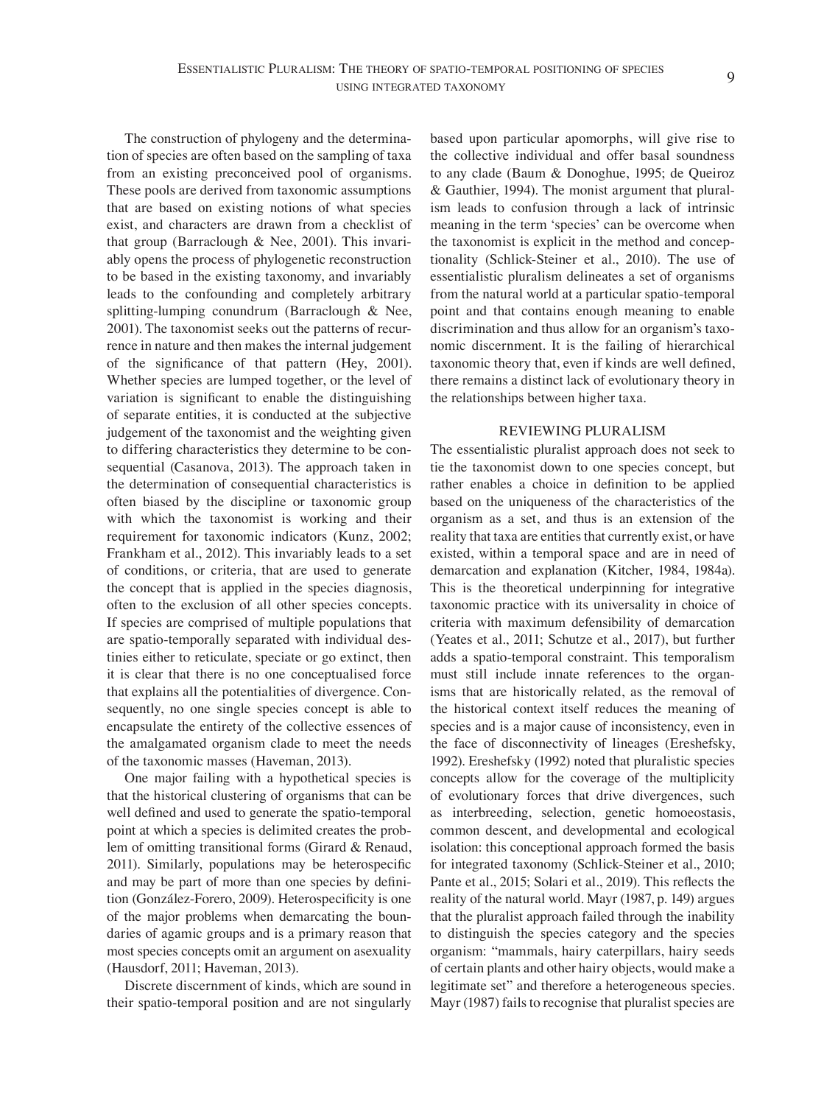The construction of phylogeny and the determination of species are often based on the sampling of taxa from an existing preconceived pool of organisms. These pools are derived from taxonomic assumptions that are based on existing notions of what species exist, and characters are drawn from a checklist of that group (Barraclough  $\&$  Nee, 2001). This invariably opens the process of phylogenetic reconstruction to be based in the existing taxonomy, and invariably leads to the confounding and completely arbitrary splitting-lumping conundrum (Barraclough & Nee, 2001). The taxonomist seeks out the patterns of recurrence in nature and then makes the internal judgement of the significance of that pattern (Hey, 2001). Whether species are lumped together, or the level of variation is significant to enable the distinguishing of separate entities, it is conducted at the subjective judgement of the taxonomist and the weighting given to differing characteristics they determine to be consequential (Casanova, 2013). The approach taken in the determination of consequential characteristics is often biased by the discipline or taxonomic group with which the taxonomist is working and their requirement for taxonomic indicators (Kunz, 2002; Frankham et al., 2012). This invariably leads to a set of conditions, or criteria, that are used to generate the concept that is applied in the species diagnosis, often to the exclusion of all other species concepts. If species are comprised of multiple populations that are spatio-temporally separated with individual destinies either to reticulate, speciate or go extinct, then it is clear that there is no one conceptualised force that explains all the potentialities of divergence. Consequently, no one single species concept is able to encapsulate the entirety of the collective essences of the amalgamated organism clade to meet the needs of the taxonomic masses (Haveman, 2013).

One major failing with a hypothetical species is that the historical clustering of organisms that can be well defined and used to generate the spatio-temporal point at which a species is delimited creates the problem of omitting transitional forms (Girard & Renaud, 2011). Similarly, populations may be heterospecific and may be part of more than one species by definition (González-Forero, 2009). Heterospecificity is one of the major problems when demarcating the boundaries of agamic groups and is a primary reason that most species concepts omit an argument on asexuality (Hausdorf, 2011; Haveman, 2013).

Discrete discernment of kinds, which are sound in their spatio-temporal position and are not singularly based upon particular apomorphs, will give rise to the collective individual and offer basal soundness to any clade (Baum & Donoghue, 1995; de Queiroz & Gauthier, 1994). The monist argument that pluralism leads to confusion through a lack of intrinsic meaning in the term 'species' can be overcome when the taxonomist is explicit in the method and conceptionality (Schlick-Steiner et al., 2010). The use of essentialistic pluralism delineates a set of organisms from the natural world at a particular spatio-temporal point and that contains enough meaning to enable discrimination and thus allow for an organism's taxonomic discernment. It is the failing of hierarchical taxonomic theory that, even if kinds are well defined, there remains a distinct lack of evolutionary theory in the relationships between higher taxa.

#### REVIEWING PLURALISM

The essentialistic pluralist approach does not seek to tie the taxonomist down to one species concept, but rather enables a choice in definition to be applied based on the uniqueness of the characteristics of the organism as a set, and thus is an extension of the reality that taxa are entities that currently exist, or have existed, within a temporal space and are in need of demarcation and explanation (Kitcher, 1984, 1984a). This is the theoretical underpinning for integrative taxonomic practice with its universality in choice of criteria with maximum defensibility of demarcation (Yeates et al., 2011; Schutze et al., 2017), but further adds a spatio-temporal constraint. This temporalism must still include innate references to the organisms that are historically related, as the removal of the historical context itself reduces the meaning of species and is a major cause of inconsistency, even in the face of disconnectivity of lineages (Ereshefsky, 1992). Ereshefsky (1992) noted that pluralistic species concepts allow for the coverage of the multiplicity of evolutionary forces that drive divergences, such as interbreeding, selection, genetic homoeostasis, common descent, and developmental and ecological isolation: this conceptional approach formed the basis for integrated taxonomy (Schlick-Steiner et al., 2010; Pante et al., 2015; Solari et al., 2019). This reflects the reality of the natural world. Mayr (1987, p. 149) argues that the pluralist approach failed through the inability to distinguish the species category and the species organism: "mammals, hairy caterpillars, hairy seeds of certain plants and other hairy objects, would make a legitimate set" and therefore a heterogeneous species. Mayr (1987) fails to recognise that pluralist species are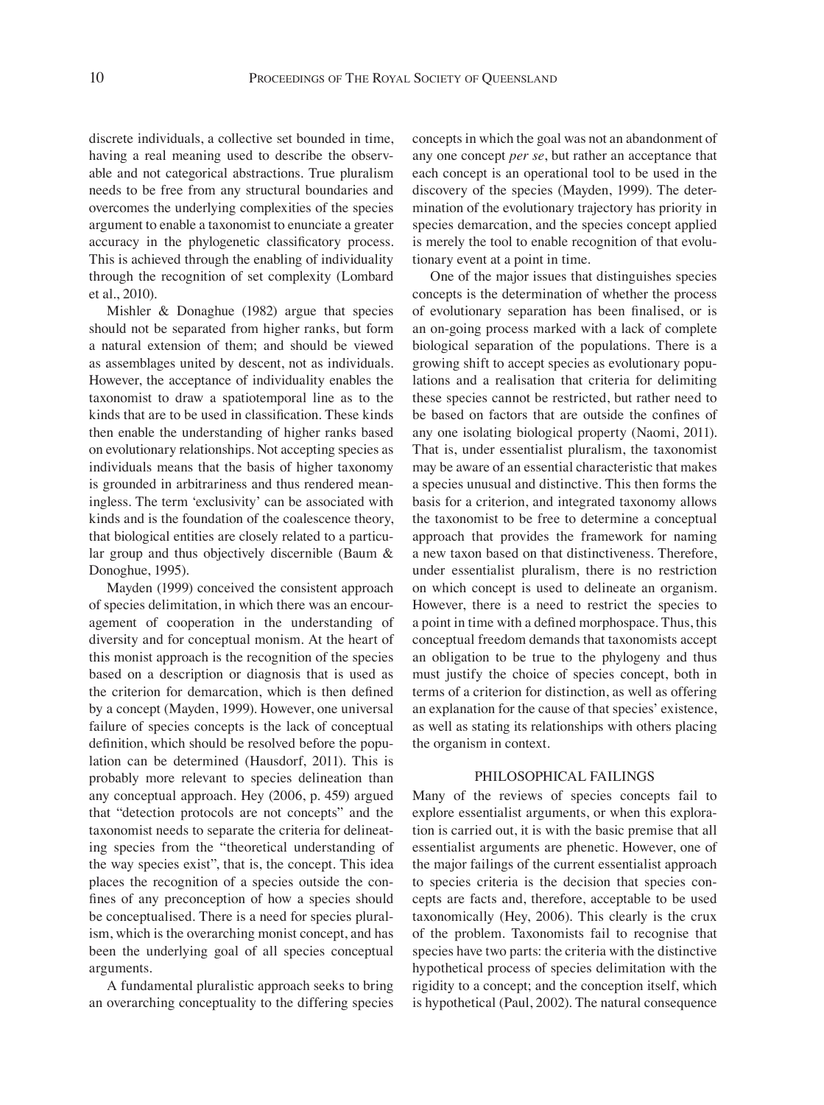discrete individuals, a collective set bounded in time, having a real meaning used to describe the observable and not categorical abstractions. True pluralism needs to be free from any structural boundaries and overcomes the underlying complexities of the species argument to enable a taxonomist to enunciate a greater accuracy in the phylogenetic classificatory process. This is achieved through the enabling of individuality through the recognition of set complexity (Lombard et al*.*, 2010).

Mishler & Donaghue (1982) argue that species should not be separated from higher ranks, but form a natural extension of them; and should be viewed as assemblages united by descent, not as individuals. However, the acceptance of individuality enables the taxonomist to draw a spatiotemporal line as to the kinds that are to be used in classification. These kinds then enable the understanding of higher ranks based on evolutionary relationships. Not accepting species as individuals means that the basis of higher taxonomy is grounded in arbitrariness and thus rendered meaningless. The term 'exclusivity' can be associated with kinds and is the foundation of the coalescence theory, that biological entities are closely related to a particular group and thus objectively discernible (Baum & Donoghue, 1995).

Mayden (1999) conceived the consistent approach of species delimitation, in which there was an encouragement of cooperation in the understanding of diversity and for conceptual monism. At the heart of this monist approach is the recognition of the species based on a description or diagnosis that is used as the criterion for demarcation, which is then defined by a concept (Mayden, 1999). However, one universal failure of species concepts is the lack of conceptual definition, which should be resolved before the population can be determined (Hausdorf, 2011). This is probably more relevant to species delineation than any conceptual approach. Hey (2006, p. 459) argued that "detection protocols are not concepts" and the taxonomist needs to separate the criteria for delineating species from the "theoretical understanding of the way species exist", that is, the concept. This idea places the recognition of a species outside the confines of any preconception of how a species should be conceptualised. There is a need for species pluralism, which is the overarching monist concept, and has been the underlying goal of all species conceptual arguments.

A fundamental pluralistic approach seeks to bring an overarching conceptuality to the differing species concepts in which the goal was not an abandonment of any one concept *per se*, but rather an acceptance that each concept is an operational tool to be used in the discovery of the species (Mayden, 1999). The determination of the evolutionary trajectory has priority in species demarcation, and the species concept applied is merely the tool to enable recognition of that evolutionary event at a point in time.

One of the major issues that distinguishes species concepts is the determination of whether the process of evolutionary separation has been finalised, or is an on-going process marked with a lack of complete biological separation of the populations. There is a growing shift to accept species as evolutionary populations and a realisation that criteria for delimiting these species cannot be restricted, but rather need to be based on factors that are outside the confines of any one isolating biological property (Naomi, 2011). That is, under essentialist pluralism, the taxonomist may be aware of an essential characteristic that makes a species unusual and distinctive. This then forms the basis for a criterion, and integrated taxonomy allows the taxonomist to be free to determine a conceptual approach that provides the framework for naming a new taxon based on that distinctiveness. Therefore, under essentialist pluralism, there is no restriction on which concept is used to delineate an organism. However, there is a need to restrict the species to a point in time with a defined morphospace. Thus, this conceptual freedom demands that taxonomists accept an obligation to be true to the phylogeny and thus must justify the choice of species concept, both in terms of a criterion for distinction, as well as offering an explanation for the cause of that species' existence, as well as stating its relationships with others placing the organism in context.

#### PHILOSOPHICAL FAILINGS

Many of the reviews of species concepts fail to explore essentialist arguments, or when this exploration is carried out, it is with the basic premise that all essentialist arguments are phenetic. However, one of the major failings of the current essentialist approach to species criteria is the decision that species concepts are facts and, therefore, acceptable to be used taxonomically (Hey, 2006). This clearly is the crux of the problem. Taxonomists fail to recognise that species have two parts: the criteria with the distinctive hypothetical process of species delimitation with the rigidity to a concept; and the conception itself, which is hypothetical (Paul, 2002). The natural consequence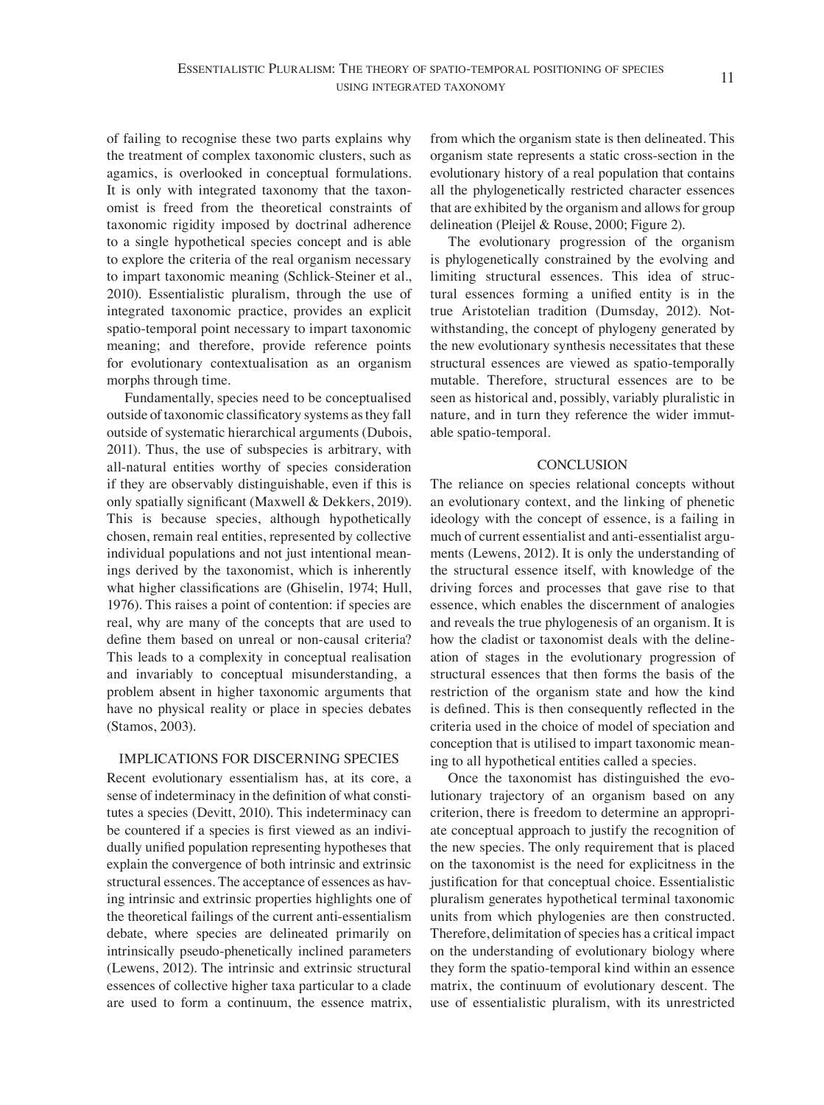of failing to recognise these two parts explains why the treatment of complex taxonomic clusters, such as agamics, is overlooked in conceptual formulations. It is only with integrated taxonomy that the taxonomist is freed from the theoretical constraints of taxonomic rigidity imposed by doctrinal adherence to a single hypothetical species concept and is able to explore the criteria of the real organism necessary to impart taxonomic meaning (Schlick-Steiner et al., 2010). Essentialistic pluralism, through the use of integrated taxonomic practice, provides an explicit spatio-temporal point necessary to impart taxonomic meaning; and therefore, provide reference points for evolutionary contextualisation as an organism morphs through time.

Fundamentally, species need to be conceptualised outside of taxonomic classificatory systems as they fall outside of systematic hierarchical arguments (Dubois, 2011). Thus, the use of subspecies is arbitrary, with all-natural entities worthy of species consideration if they are observably distinguishable, even if this is only spatially significant (Maxwell & Dekkers, 2019). This is because species, although hypothetically chosen, remain real entities, represented by collective individual populations and not just intentional meanings derived by the taxonomist, which is inherently what higher classifications are (Ghiselin, 1974; Hull, 1976). This raises a point of contention: if species are real, why are many of the concepts that are used to define them based on unreal or non-causal criteria? This leads to a complexity in conceptual realisation and invariably to conceptual misunderstanding, a problem absent in higher taxonomic arguments that have no physical reality or place in species debates (Stamos, 2003).

## IMPLICATIONS FOR DISCERNING SPECIES

Recent evolutionary essentialism has, at its core, a sense of indeterminacy in the definition of what constitutes a species (Devitt, 2010). This indeterminacy can be countered if a species is first viewed as an individually unified population representing hypotheses that explain the convergence of both intrinsic and extrinsic structural essences. The acceptance of essences as having intrinsic and extrinsic properties highlights one of the theoretical failings of the current anti-essentialism debate, where species are delineated primarily on intrinsically pseudo-phenetically inclined parameters (Lewens, 2012). The intrinsic and extrinsic structural essences of collective higher taxa particular to a clade are used to form a continuum, the essence matrix,

from which the organism state is then delineated. This organism state represents a static cross-section in the evolutionary history of a real population that contains all the phylogenetically restricted character essences that are exhibited by the organism and allows for group delineation (Pleijel & Rouse, 2000; Figure 2).

The evolutionary progression of the organism is phylogenetically constrained by the evolving and limiting structural essences. This idea of structural essences forming a unified entity is in the true Aristotelian tradition (Dumsday, 2012). Notwithstanding, the concept of phylogeny generated by the new evolutionary synthesis necessitates that these structural essences are viewed as spatio-temporally mutable. Therefore, structural essences are to be seen as historical and, possibly, variably pluralistic in nature, and in turn they reference the wider immutable spatio-temporal.

## **CONCLUSION**

The reliance on species relational concepts without an evolutionary context, and the linking of phenetic ideology with the concept of essence, is a failing in much of current essentialist and anti-essentialist arguments (Lewens, 2012). It is only the understanding of the structural essence itself, with knowledge of the driving forces and processes that gave rise to that essence, which enables the discernment of analogies and reveals the true phylogenesis of an organism. It is how the cladist or taxonomist deals with the delineation of stages in the evolutionary progression of structural essences that then forms the basis of the restriction of the organism state and how the kind is defined. This is then consequently reflected in the criteria used in the choice of model of speciation and conception that is utilised to impart taxonomic meaning to all hypothetical entities called a species.

Once the taxonomist has distinguished the evolutionary trajectory of an organism based on any criterion, there is freedom to determine an appropriate conceptual approach to justify the recognition of the new species. The only requirement that is placed on the taxonomist is the need for explicitness in the justification for that conceptual choice. Essentialistic pluralism generates hypothetical terminal taxonomic units from which phylogenies are then constructed. Therefore, delimitation of species has a critical impact on the understanding of evolutionary biology where they form the spatio-temporal kind within an essence matrix, the continuum of evolutionary descent. The use of essentialistic pluralism, with its unrestricted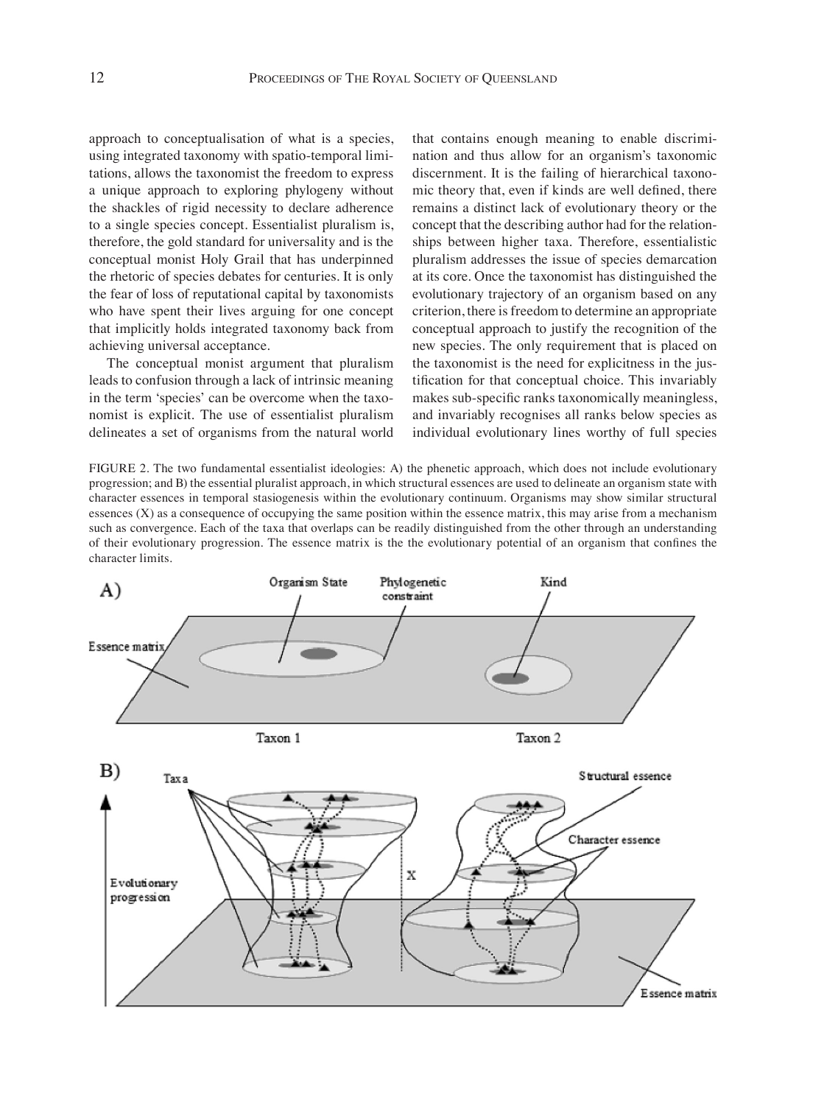approach to conceptualisation of what is a species, using integrated taxonomy with spatio-temporal limitations, allows the taxonomist the freedom to express a unique approach to exploring phylogeny without the shackles of rigid necessity to declare adherence to a single species concept. Essentialist pluralism is, therefore, the gold standard for universality and is the conceptual monist Holy Grail that has underpinned the rhetoric of species debates for centuries. It is only the fear of loss of reputational capital by taxonomists who have spent their lives arguing for one concept that implicitly holds integrated taxonomy back from achieving universal acceptance.

The conceptual monist argument that pluralism leads to confusion through a lack of intrinsic meaning in the term 'species' can be overcome when the taxonomist is explicit. The use of essentialist pluralism delineates a set of organisms from the natural world that contains enough meaning to enable discrimination and thus allow for an organism's taxonomic discernment. It is the failing of hierarchical taxonomic theory that, even if kinds are well defined, there remains a distinct lack of evolutionary theory or the concept that the describing author had for the relationships between higher taxa. Therefore, essentialistic pluralism addresses the issue of species demarcation at its core. Once the taxonomist has distinguished the evolutionary trajectory of an organism based on any criterion, there is freedom to determine an appropriate conceptual approach to justify the recognition of the new species. The only requirement that is placed on the taxonomist is the need for explicitness in the justification for that conceptual choice. This invariably makes sub-specific ranks taxonomically meaningless, and invariably recognises all ranks below species as individual evolutionary lines worthy of full species

FIGURE 2. The two fundamental essentialist ideologies: A) the phenetic approach, which does not include evolutionary progression; and B) the essential pluralist approach, in which structural essences are used to delineate an organism state with character essences in temporal stasiogenesis within the evolutionary continuum. Organisms may show similar structural essences (X) as a consequence of occupying the same position within the essence matrix, this may arise from a mechanism such as convergence. Each of the taxa that overlaps can be readily distinguished from the other through an understanding of their evolutionary progression. The essence matrix is the the evolutionary potential of an organism that confines the character limits.

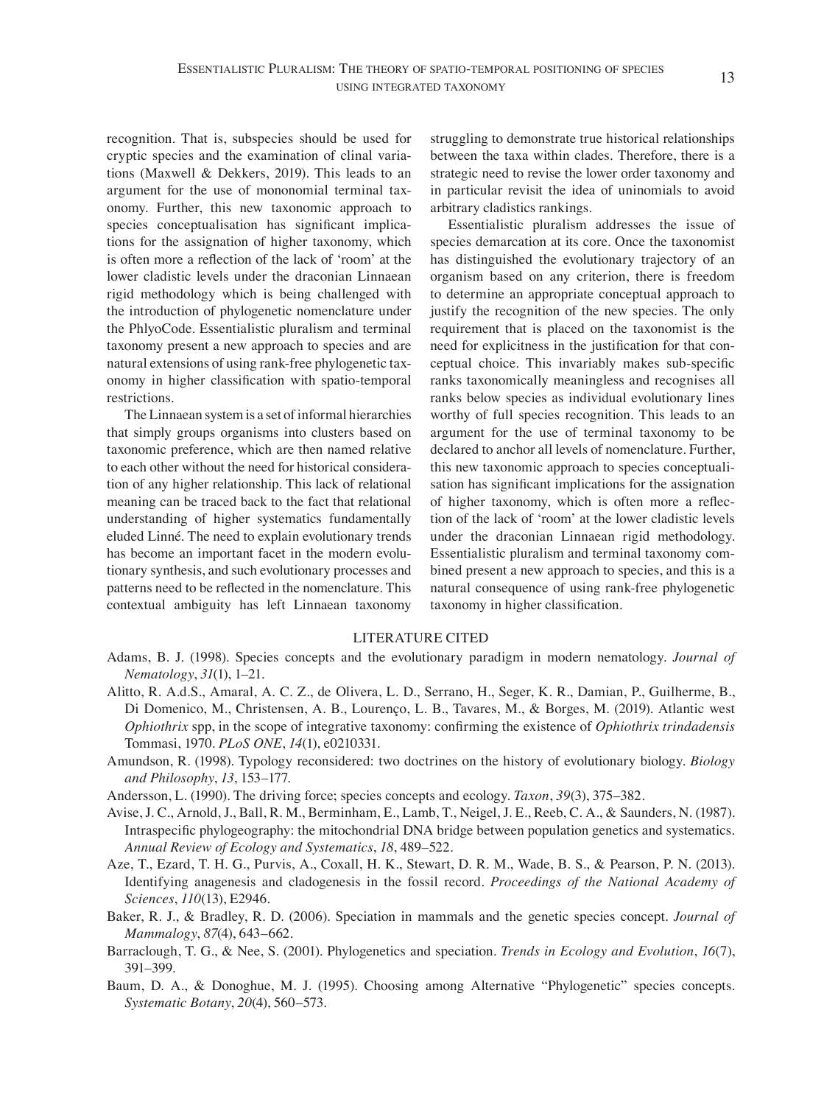recognition. That is, subspecies should be used for cryptic species and the examination of clinal variations (Maxwell & Dekkers, 2019). This leads to an argument for the use of mononomial terminal taxonomy. Further, this new taxonomic approach to species conceptualisation has significant implications for the assignation of higher taxonomy, which is often more a reflection of the lack of 'room' at the lower cladistic levels under the draconian Linnaean rigid methodology which is being challenged with the introduction of phylogenetic nomenclature under the PhlyoCode. Essentialistic pluralism and terminal taxonomy present a new approach to species and are natural extensions of using rank-free phylogenetic taxonomy in higher classification with spatio-temporal restrictions.

The Linnaean system is a set of informal hierarchies that simply groups organisms into clusters based on taxonomic preference, which are then named relative to each other without the need for historical consideration of any higher relationship. This lack of relational meaning can be traced back to the fact that relational understanding of higher systematics fundamentally eluded Linné. The need to explain evolutionary trends has become an important facet in the modern evolutionary synthesis, and such evolutionary processes and patterns need to be reflected in the nomenclature. This contextual ambiguity has left Linnaean taxonomy struggling to demonstrate true historical relationships between the taxa within clades. Therefore, there is a strategic need to revise the lower order taxonomy and in particular revisit the idea of uninomials to avoid arbitrary cladistics rankings.

Essentialistic pluralism addresses the issue of species demarcation at its core. Once the taxonomist has distinguished the evolutionary trajectory of an organism based on any criterion, there is freedom to determine an appropriate conceptual approach to justify the recognition of the new species. The only requirement that is placed on the taxonomist is the need for explicitness in the justification for that conceptual choice. This invariably makes sub-specific ranks taxonomically meaningless and recognises all ranks below species as individual evolutionary lines worthy of full species recognition. This leads to an argument for the use of terminal taxonomy to be declared to anchor all levels of nomenclature. Further, this new taxonomic approach to species conceptualisation has significant implications for the assignation of higher taxonomy, which is often more a reflection of the lack of 'room' at the lower cladistic levels under the draconian Linnaean rigid methodology. Essentialistic pluralism and terminal taxonomy combined present a new approach to species, and this is a natural consequence of using rank-free phylogenetic taxonomy in higher classification.

#### LITERATURE CITED

- Adams, B. J. (1998). Species concepts and the evolutionary paradigm in modern nematology. *Journal of Nematology*, *31*(1), 1–21.
- Alitto, R. A.d.S., Amaral, A. C. Z., de Olivera, L. D., Serrano, H., Seger, K. R., Damian, P., Guilherme, B., Di Domenico, M., Christensen, A. B., Lourenço, L. B., Tavares, M., & Borges, M. (2019). Atlantic west *Ophiothrix* spp, in the scope of integrative taxonomy: confirming the existence of *Ophiothrix trindadensis* Tommasi, 1970. *PLoS ONE*, *14*(1), e0210331.
- Amundson, R. (1998). Typology reconsidered: two doctrines on the history of evolutionary biology. *Biology and Philosophy*, *13*, 153–177.
- Andersson, L. (1990). The driving force; species concepts and ecology. *Taxon*, *39*(3), 375–382.
- Avise, J. C., Arnold, J., Ball, R. M., Berminham, E., Lamb, T., Neigel, J. E., Reeb, C. A., & Saunders, N. (1987). Intraspecific phylogeography: the mitochondrial DNA bridge between population genetics and systematics. *Annual Review of Ecology and Systematics*, *18*, 489–522.
- Aze, T., Ezard, T. H. G., Purvis, A., Coxall, H. K., Stewart, D. R. M., Wade, B. S., & Pearson, P. N. (2013). Identifying anagenesis and cladogenesis in the fossil record. *Proceedings of the National Academy of Sciences*, *110*(13), E2946.
- Baker, R. J., & Bradley, R. D. (2006). Speciation in mammals and the genetic species concept. *Journal of Mammalogy*, *87*(4), 643–662.
- Barraclough, T. G., & Nee, S. (2001). Phylogenetics and speciation. *Trends in Ecology and Evolution*, *16*(7), 391–399.
- Baum, D. A., & Donoghue, M. J. (1995). Choosing among Alternative "Phylogenetic" species concepts. *Systematic Botany*, *20*(4), 560–573.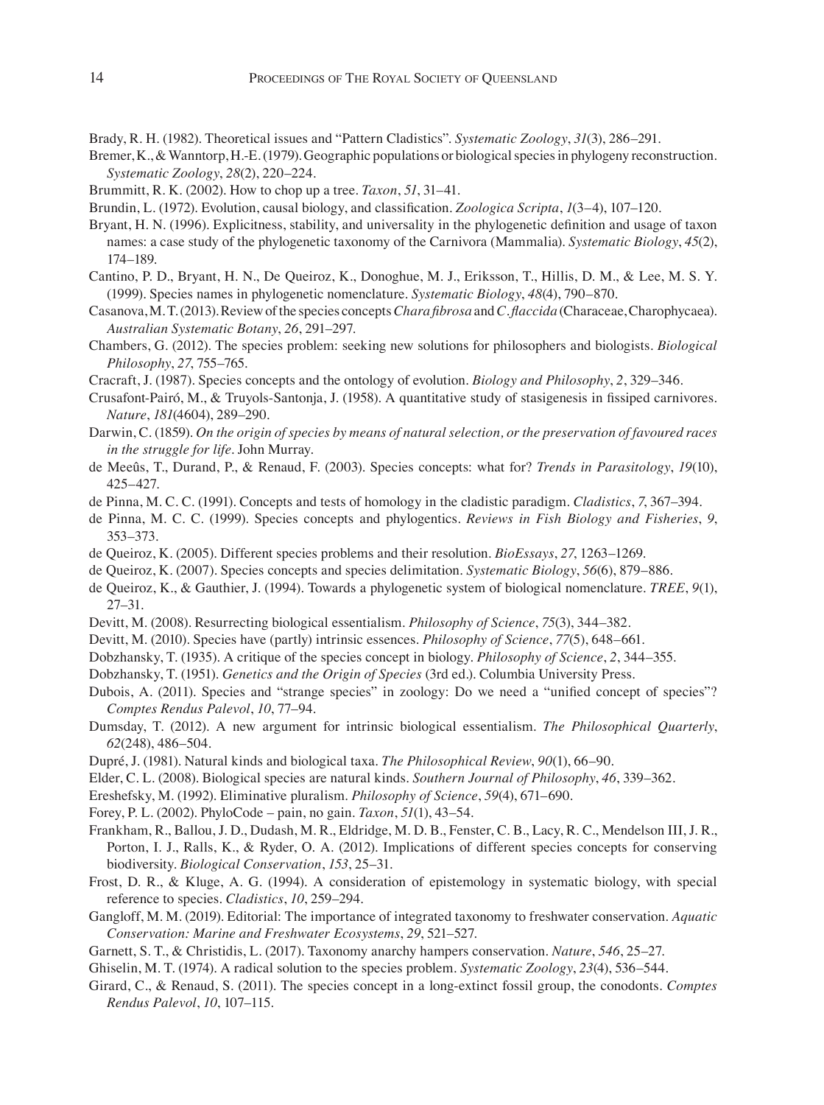- Brady, R. H. (1982). Theoretical issues and "Pattern Cladistics". *Systematic Zoology*, *31*(3), 286–291.
- Bremer, K., & Wanntorp, H.-E. (1979). Geographic populations or biological species in phylogeny reconstruction. *Systematic Zoology*, *28*(2), 220–224.
- Brummitt, R. K. (2002). How to chop up a tree. *Taxon*, *51*, 31–41.
- Brundin, L. (1972). Evolution, causal biology, and classification. *Zoologica Scripta*, *1*(3–4), 107–120.
- Bryant, H. N. (1996). Explicitness, stability, and universality in the phylogenetic definition and usage of taxon names: a case study of the phylogenetic taxonomy of the Carnivora (Mammalia). *Systematic Biology*, *45*(2), 174–189.
- Cantino, P. D., Bryant, H. N., De Queiroz, K., Donoghue, M. J., Eriksson, T., Hillis, D. M., & Lee, M. S. Y. (1999). Species names in phylogenetic nomenclature. *Systematic Biology*, *48*(4), 790–870.
- Casanova, M. T. (2013). Review of the species concepts *Chara fibrosa* and *C. flaccida* (Characeae, Charophycaea). *Australian Systematic Botany*, *26*, 291–297.
- Chambers, G. (2012). The species problem: seeking new solutions for philosophers and biologists. *Biological Philosophy*, *27*, 755–765.
- Cracraft, J. (1987). Species concepts and the ontology of evolution. *Biology and Philosophy*, *2*, 329–346.
- Crusafont-Pairó, M., & Truyols-Santonja, J. (1958). A quantitative study of stasigenesis in fissiped carnivores. *Nature*, *181*(4604), 289–290.
- Darwin, C. (1859). *On the origin of species by means of natural selection, or the preservation of favoured races in the struggle for life*. John Murray.
- de Meeûs, T., Durand, P., & Renaud, F. (2003). Species concepts: what for? *Trends in Parasitology*, *19*(10), 425–427.
- de Pinna, M. C. C. (1991). Concepts and tests of homology in the cladistic paradigm. *Cladistics*, *7*, 367–394.
- de Pinna, M. C. C. (1999). Species concepts and phylogentics. *Reviews in Fish Biology and Fisheries*, *9*, 353–373.
- de Queiroz, K. (2005). Different species problems and their resolution. *BioEssays*, *27*, 1263–1269.
- de Queiroz, K. (2007). Species concepts and species delimitation. *Systematic Biology*, *56*(6), 879–886.
- de Queiroz, K., & Gauthier, J. (1994). Towards a phylogenetic system of biological nomenclature. *TREE*, *9*(1), 27–31.
- Devitt, M. (2008). Resurrecting biological essentialism. *Philosophy of Science*, *75*(3), 344–382.
- Devitt, M. (2010). Species have (partly) intrinsic essences. *Philosophy of Science*, *77*(5), 648–661.
- Dobzhansky, T. (1935). A critique of the species concept in biology. *Philosophy of Science*, *2*, 344–355.
- Dobzhansky, T. (1951). *Genetics and the Origin of Species* (3rd ed.). Columbia University Press.
- Dubois, A. (2011). Species and "strange species" in zoology: Do we need a "unified concept of species"? *Comptes Rendus Palevol*, *10*, 77–94.
- Dumsday, T. (2012). A new argument for intrinsic biological essentialism. *The Philosophical Quarterly*, *62*(248), 486–504.
- Dupré, J. (1981). Natural kinds and biological taxa. *The Philosophical Review*, *90*(1), 66–90.
- Elder, C. L. (2008). Biological species are natural kinds. *Southern Journal of Philosophy*, *46*, 339–362.
- Ereshefsky, M. (1992). Eliminative pluralism. *Philosophy of Science*, *59*(4), 671–690.
- Forey, P. L. (2002). PhyloCode pain, no gain. *Taxon*, *51*(1), 43–54.
- Frankham, R., Ballou, J. D., Dudash, M. R., Eldridge, M. D. B., Fenster, C. B., Lacy, R. C., Mendelson III, J. R., Porton, I. J., Ralls, K., & Ryder, O. A. (2012). Implications of different species concepts for conserving biodiversity. *Biological Conservation*, *153*, 25–31.
- Frost, D. R., & Kluge, A. G. (1994). A consideration of epistemology in systematic biology, with special reference to species. *Cladistics*, *10*, 259–294.
- Gangloff, M. M. (2019). Editorial: The importance of integrated taxonomy to freshwater conservation. *Aquatic Conservation: Marine and Freshwater Ecosystems*, *29*, 521–527.
- Garnett, S. T., & Christidis, L. (2017). Taxonomy anarchy hampers conservation. *Nature*, *546*, 25–27.
- Ghiselin, M. T. (1974). A radical solution to the species problem. *Systematic Zoology*, *23*(4), 536–544.
- Girard, C., & Renaud, S. (2011). The species concept in a long-extinct fossil group, the conodonts. *Comptes Rendus Palevol*, *10*, 107–115.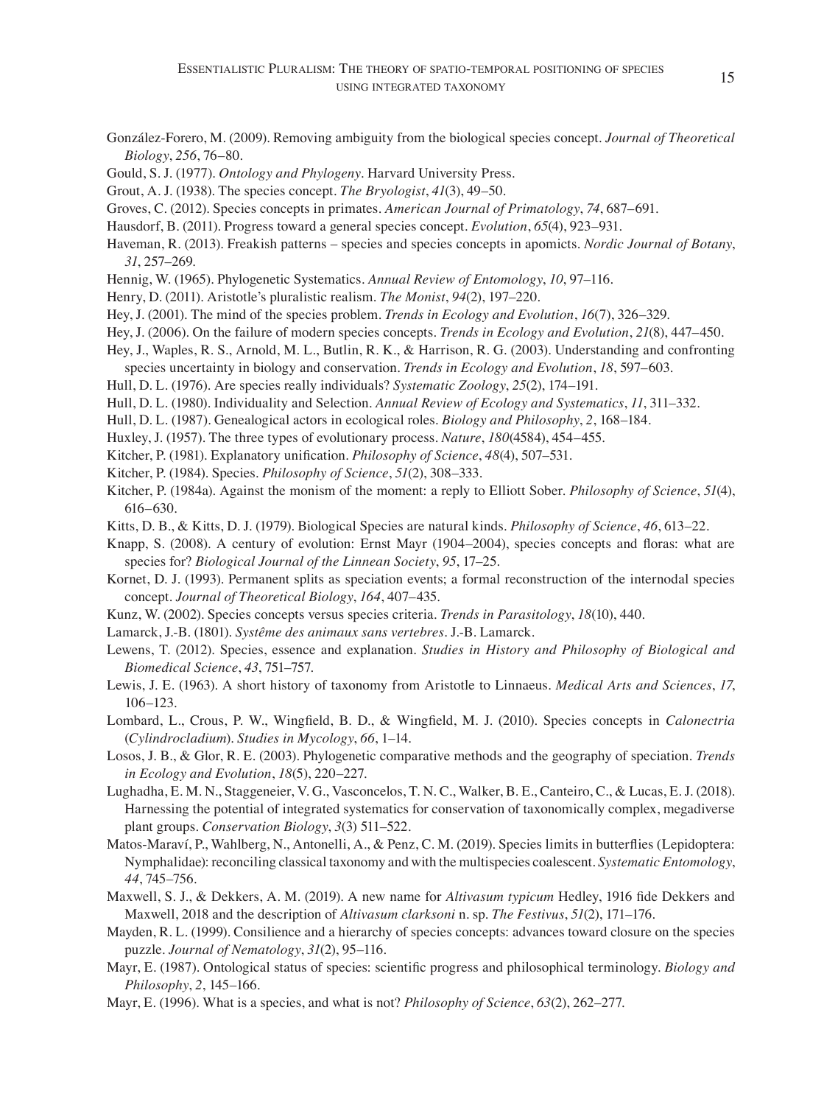- González-Forero, M. (2009). Removing ambiguity from the biological species concept. *Journal of Theoretical Biology*, *256*, 76–80.
- Gould, S. J. (1977). *Ontology and Phylogeny.* Harvard University Press.
- Grout, A. J. (1938). The species concept. *The Bryologist*, *41*(3), 49–50.
- Groves, C. (2012). Species concepts in primates. *American Journal of Primatology*, *74*, 687–691.
- Hausdorf, B. (2011). Progress toward a general species concept. *Evolution*, *65*(4), 923–931.
- Haveman, R. (2013). Freakish patterns species and species concepts in apomicts. *Nordic Journal of Botany*, *31*, 257–269.
- Hennig, W. (1965). Phylogenetic Systematics. *Annual Review of Entomology*, *10*, 97–116.
- Henry, D. (2011). Aristotle's pluralistic realism. *The Monist*, *94*(2), 197–220.
- Hey, J. (2001). The mind of the species problem. *Trends in Ecology and Evolution*, *16*(7), 326–329.
- Hey, J. (2006). On the failure of modern species concepts. *Trends in Ecology and Evolution*, *21*(8), 447–450.
- Hey, J., Waples, R. S., Arnold, M. L., Butlin, R. K., & Harrison, R. G. (2003). Understanding and confronting species uncertainty in biology and conservation. *Trends in Ecology and Evolution*, *18*, 597–603.
- Hull, D. L. (1976). Are species really individuals? *Systematic Zoology*, *25*(2), 174–191.
- Hull, D. L. (1980). Individuality and Selection. *Annual Review of Ecology and Systematics*, *11*, 311–332.
- Hull, D. L. (1987). Genealogical actors in ecological roles. *Biology and Philosophy*, *2*, 168–184.
- Huxley, J. (1957). The three types of evolutionary process. *Nature*, *180*(4584), 454–455.
- Kitcher, P. (1981). Explanatory unification. *Philosophy of Science*, *48*(4), 507–531.
- Kitcher, P. (1984). Species. *Philosophy of Science*, *51*(2), 308–333.
- Kitcher, P. (1984a). Against the monism of the moment: a reply to Elliott Sober. *Philosophy of Science*, *51*(4), 616–630.
- Kitts, D. B., & Kitts, D. J. (1979). Biological Species are natural kinds. *Philosophy of Science*, *46*, 613–22.
- Knapp, S. (2008). A century of evolution: Ernst Mayr (1904–2004), species concepts and floras: what are species for? *Biological Journal of the Linnean Society*, *95*, 17–25.
- Kornet, D. J. (1993). Permanent splits as speciation events; a formal reconstruction of the internodal species concept. *Journal of Theoretical Biology*, *164*, 407–435.
- Kunz, W. (2002). Species concepts versus species criteria. *Trends in Parasitology*, *18*(10), 440.
- Lamarck, J.-B. (1801). *Systême des animaux sans vertebres.* J.-B. Lamarck.
- Lewens, T. (2012). Species, essence and explanation*. Studies in History and Philosophy of Biological and Biomedical Science*, *43*, 751–757.
- Lewis, J. E. (1963). A short history of taxonomy from Aristotle to Linnaeus. *Medical Arts and Sciences*, *17*, 106–123.
- Lombard, L., Crous, P. W., Wingfield, B. D., & Wingfield, M. J. (2010). Species concepts in *Calonectria* (*Cylindrocladium*). *Studies in Mycology*, *66*, 1–14.
- Losos, J. B., & Glor, R. E. (2003). Phylogenetic comparative methods and the geography of speciation. *Trends in Ecology and Evolution*, *18*(5), 220–227.
- Lughadha, E. M. N., Staggeneier, V. G., Vasconcelos, T. N. C., Walker, B. E., Canteiro, C., & Lucas, E. J. (2018). Harnessing the potential of integrated systematics for conservation of taxonomically complex, megadiverse plant groups. *Conservation Biology*, *3*(3) 511–522.
- Matos-Maraví, P., Wahlberg, N., Antonelli, A., & Penz, C. M. (2019). Species limits in butterflies (Lepidoptera: Nymphalidae): reconciling classical taxonomy and with the multispecies coalescent. *Systematic Entomology*, *44*, 745–756.
- Maxwell, S. J., & Dekkers, A. M. (2019). A new name for *Altivasum typicum* Hedley, 1916 fide Dekkers and Maxwell, 2018 and the description of *Altivasum clarksoni* n. sp. *The Festivus*, *51*(2), 171–176.
- Mayden, R. L. (1999). Consilience and a hierarchy of species concepts: advances toward closure on the species puzzle. *Journal of Nematology*, *31*(2), 95–116.
- Mayr, E. (1987). Ontological status of species: scientific progress and philosophical terminology. *Biology and Philosophy*, *2*, 145–166.
- Mayr, E. (1996). What is a species, and what is not? *Philosophy of Science*, *63*(2), 262–277.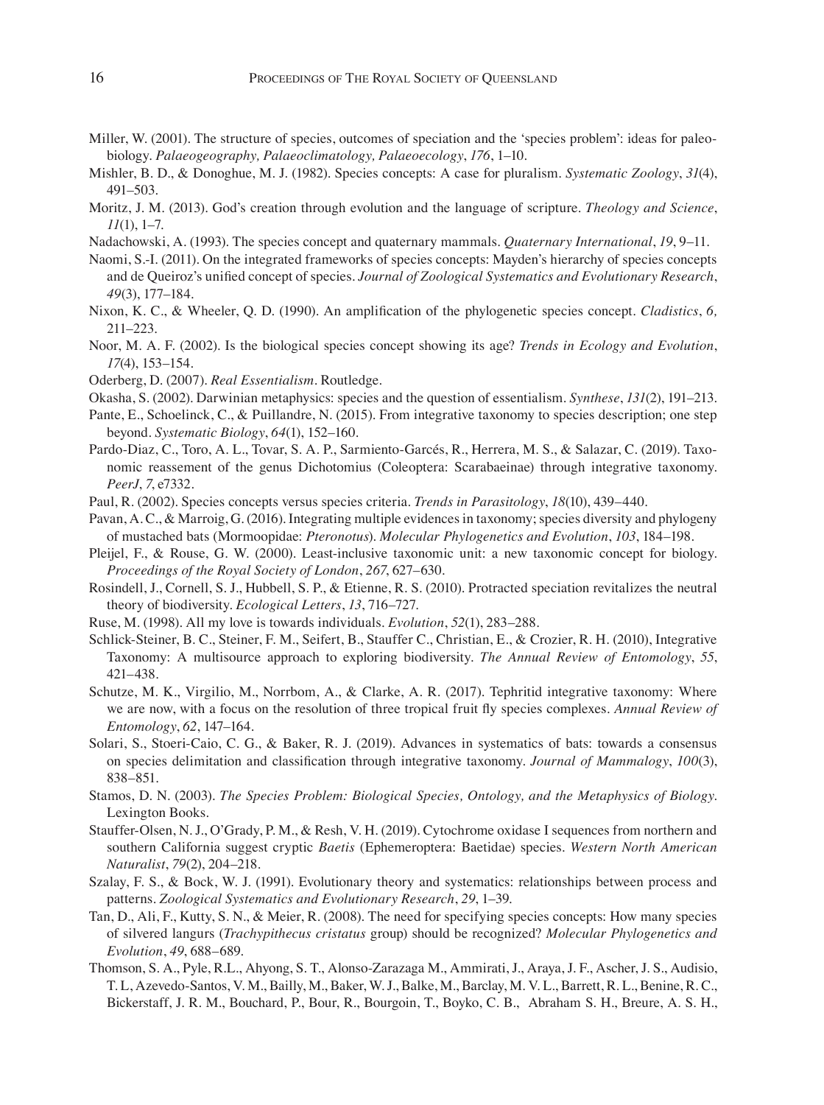- Miller, W. (2001). The structure of species, outcomes of speciation and the 'species problem': ideas for paleobiology. *Palaeogeography, Palaeoclimatology, Palaeoecology*, *176*, 1–10.
- Mishler, B. D., & Donoghue, M. J. (1982). Species concepts: A case for pluralism. *Systematic Zoology*, *31*(4), 491–503.
- Moritz, J. M. (2013). God's creation through evolution and the language of scripture. *Theology and Science*, *11*(1), 1–7.
- Nadachowski, A. (1993). The species concept and quaternary mammals. *Quaternary International*, *19*, 9–11.

Naomi, S.-I. (2011). On the integrated frameworks of species concepts: Mayden's hierarchy of species concepts and de Queiroz's unified concept of species. *Journal of Zoological Systematics and Evolutionary Research*, *49*(3), 177–184.

- Nixon, K. C., & Wheeler, Q. D. (1990). An amplification of the phylogenetic species concept. *Cladistics*, *6,*  211–223.
- Noor, M. A. F. (2002). Is the biological species concept showing its age? *Trends in Ecology and Evolution*, *17*(4), 153–154.
- Oderberg, D. (2007). *Real Essentialism*. Routledge.
- Okasha, S. (2002). Darwinian metaphysics: species and the question of essentialism. *Synthese*, *131*(2), 191–213.
- Pante, E., Schoelinck, C., & Puillandre, N. (2015). From integrative taxonomy to species description; one step beyond. *Systematic Biology*, *64*(1), 152–160.
- Pardo-Diaz, C., Toro, A. L., Tovar, S. A. P., Sarmiento-Garcés, R., Herrera, M. S., & Salazar, C. (2019). Taxonomic reassement of the genus Dichotomius (Coleoptera: Scarabaeinae) through integrative taxonomy. *PeerJ*, *7*, e7332.
- Paul, R. (2002). Species concepts versus species criteria. *Trends in Parasitology*, *18*(10), 439–440.
- Pavan, A. C., & Marroig, G. (2016). Integrating multiple evidences in taxonomy; species diversity and phylogeny of mustached bats (Mormoopidae: *Pteronotus*). *Molecular Phylogenetics and Evolution*, *103*, 184–198.
- Pleijel, F., & Rouse, G. W. (2000). Least-inclusive taxonomic unit: a new taxonomic concept for biology. *Proceedings of the Royal Society of London*, *267*, 627–630.
- Rosindell, J., Cornell, S. J., Hubbell, S. P., & Etienne, R. S. (2010). Protracted speciation revitalizes the neutral theory of biodiversity. *Ecological Letters*, *13*, 716–727.
- Ruse, M. (1998). All my love is towards individuals. *Evolution*, *52*(1), 283–288.
- Schlick-Steiner, B. C., Steiner, F. M., Seifert, B., Stauffer C., Christian, E., & Crozier, R. H. (2010), Integrative Taxonomy: A multisource approach to exploring biodiversity. *The Annual Review of Entomology*, *55*, 421–438.
- Schutze, M. K., Virgilio, M., Norrbom, A., & Clarke, A. R. (2017). Tephritid integrative taxonomy: Where we are now, with a focus on the resolution of three tropical fruit fly species complexes. *Annual Review of Entomology*, *62*, 147–164.
- Solari, S., Stoeri-Caio, C. G., & Baker, R. J. (2019). Advances in systematics of bats: towards a consensus on species delimitation and classification through integrative taxonomy. *Journal of Mammalogy*, *100*(3), 838–851.
- Stamos, D. N. (2003). *The Species Problem: Biological Species, Ontology, and the Metaphysics of Biology*. Lexington Books.
- Stauffer-Olsen, N. J., O'Grady, P. M., & Resh, V. H. (2019). Cytochrome oxidase I sequences from northern and southern California suggest cryptic *Baetis* (Ephemeroptera: Baetidae) species. *Western North American Naturalist*, *79*(2), 204–218.
- Szalay, F. S., & Bock, W. J. (1991). Evolutionary theory and systematics: relationships between process and patterns. *Zoological Systematics and Evolutionary Research*, *29*, 1–39.
- Tan, D., Ali, F., Kutty, S. N., & Meier, R. (2008). The need for specifying species concepts: How many species of silvered langurs (*Trachypithecus cristatus* group) should be recognized? *Molecular Phylogenetics and Evolution*, *49*, 688–689.
- Thomson, S. A., Pyle, R.L., Ahyong, S. T., Alonso-Zarazaga M., Ammirati, J., Araya, J. F., Ascher, J. S., Audisio, T. L, Azevedo-Santos, V. M., Bailly, M., Baker, W. J., Balke, M., Barclay, M. V. L., Barrett, R. L., Benine, R. C., Bickerstaff, J. R. M., Bouchard, P., Bour, R., Bourgoin, T., Boyko, C. B., Abraham S. H., Breure, A. S. H.,